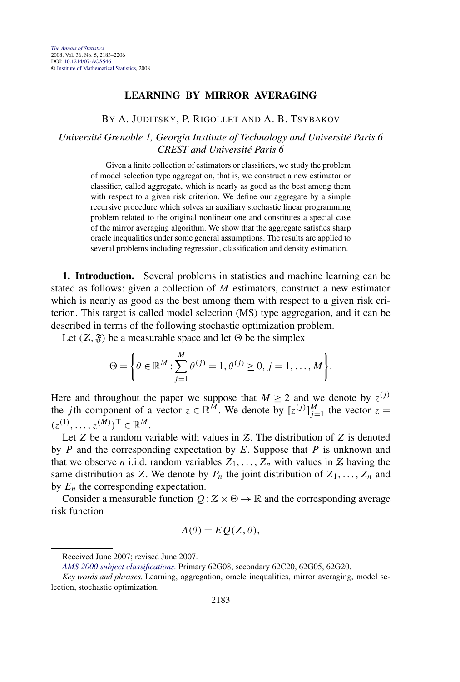## **LEARNING BY MIRROR AVERAGING**

## BY A. JUDITSKY, P. RIGOLLET AND A. B. TSYBAKOV

## *Université Grenoble 1, Georgia Institute of Technology and Université Paris 6 CREST and Université Paris 6*

Given a finite collection of estimators or classifiers, we study the problem of model selection type aggregation, that is, we construct a new estimator or classifier, called aggregate, which is nearly as good as the best among them with respect to a given risk criterion. We define our aggregate by a simple recursive procedure which solves an auxiliary stochastic linear programming problem related to the original nonlinear one and constitutes a special case of the mirror averaging algorithm. We show that the aggregate satisfies sharp oracle inequalities under some general assumptions. The results are applied to several problems including regression, classification and density estimation.

**1. Introduction.** Several problems in statistics and machine learning can be stated as follows: given a collection of *M* estimators, construct a new estimator which is nearly as good as the best among them with respect to a given risk criterion. This target is called model selection (MS) type aggregation, and it can be described in terms of the following stochastic optimization problem.

Let  $(\mathcal{Z}, \mathfrak{F})$  be a measurable space and let  $\Theta$  be the simplex

$$
\Theta = \left\{ \theta \in \mathbb{R}^M : \sum_{j=1}^M \theta^{(j)} = 1, \theta^{(j)} \ge 0, j = 1, ..., M \right\}.
$$

Here and throughout the paper we suppose that  $M \geq 2$  and we denote by  $z^{(j)}$ the *j*th component of a vector  $z \in \mathbb{R}^M$ . We denote by  $[z^{(j)}]_{j=1}^M$  the vector  $z =$  $(z^{(1)}, \ldots, z^{(M)})^{\top} \in \mathbb{R}^{M}$ .

Let *Z* be a random variable with values in *Z*. The distribution of *Z* is denoted by *P* and the corresponding expectation by *E*. Suppose that *P* is unknown and that we observe *n* i.i.d. random variables  $Z_1, \ldots, Z_n$  with values in  $Z$  having the same distribution as *Z*. We denote by  $P_n$  the joint distribution of  $Z_1, \ldots, Z_n$  and by  $E_n$  the corresponding expectation.

Consider a measurable function  $Q : \mathbb{Z} \times \Theta \to \mathbb{R}$  and the corresponding average risk function

$$
A(\theta) = E Q(Z, \theta),
$$

Received June 2007; revised June 2007.

*[AMS 2000 subject classifications.](http://www.ams.org/msc/)* Primary 62G08; secondary 62C20, 62G05, 62G20.

*Key words and phrases.* Learning, aggregation, oracle inequalities, mirror averaging, model selection, stochastic optimization.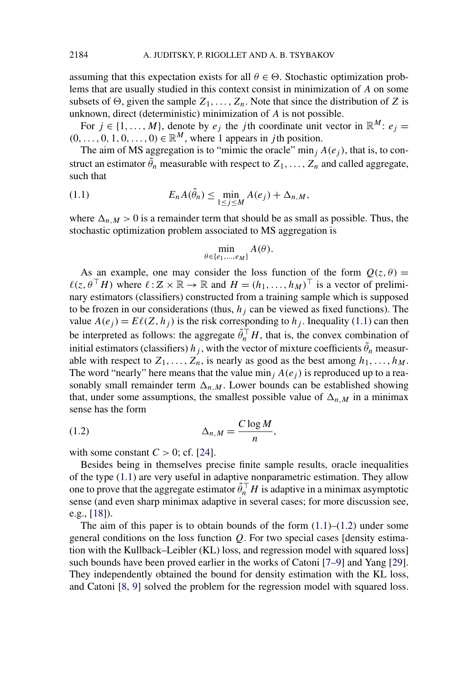<span id="page-1-0"></span>assuming that this expectation exists for all  $\theta \in \Theta$ . Stochastic optimization problems that are usually studied in this context consist in minimization of *A* on some subsets of  $\Theta$ , given the sample  $Z_1, \ldots, Z_n$ . Note that since the distribution of *Z* is unknown, direct (deterministic) minimization of *A* is not possible.

For  $j \in \{1, ..., M\}$ , denote by  $e_j$  the *j*th coordinate unit vector in  $\mathbb{R}^M$ :  $e_j =$  $(0, \ldots, 0, 1, 0, \ldots, 0) \in \mathbb{R}^M$ , where 1 appears in *j*th position.

The aim of MS aggregation is to "mimic the oracle" min<sub>j</sub>  $A(e_i)$ , that is, to construct an estimator  $\tilde{\theta}_n$  measurable with respect to  $Z_1, \ldots, Z_n$  and called aggregate, such that

(1.1) 
$$
E_n A(\tilde{\theta}_n) \leq \min_{1 \leq j \leq M} A(e_j) + \Delta_{n,M},
$$

where  $\Delta_{n,M} > 0$  is a remainder term that should be as small as possible. Thus, the stochastic optimization problem associated to MS aggregation is

$$
\min_{\theta \in \{e_1, \dots, e_M\}} A(\theta).
$$

As an example, one may consider the loss function of the form  $Q(z, \theta)$  =  $\ell(z, \theta^\top H)$  where  $\ell : \mathcal{Z} \times \mathbb{R} \to \mathbb{R}$  and  $H = (h_1, \dots, h_M)^\top$  is a vector of preliminary estimators (classifiers) constructed from a training sample which is supposed to be frozen in our considerations (thus,  $h_j$  can be viewed as fixed functions). The value  $A(e_j) = E\ell(Z, h_j)$  is the risk corresponding to  $h_j$ . Inequality (1.1) can then be interpreted as follows: the aggregate  $\tilde{\theta}_n^{\top}H$ , that is, the convex combination of initial estimators (classifiers)  $h_j$ , with the vector of mixture coefficients  $\tilde{\theta}_n$  measurable with respect to  $Z_1, \ldots, Z_n$ , is nearly as good as the best among  $h_1, \ldots, h_M$ . The word "nearly" here means that the value min<sub>j</sub>  $A(e_j)$  is reproduced up to a reasonably small remainder term  $\Delta_{n,M}$ . Lower bounds can be established showing that, under some assumptions, the smallest possible value of  $\Delta_{n,M}$  in a minimax sense has the form

$$
\Delta_{n,M} = \frac{C \log M}{n},
$$

with some constant  $C > 0$ ; cf. [\[24\]](#page-23-0).

Besides being in themselves precise finite sample results, oracle inequalities of the type (1.1) are very useful in adaptive nonparametric estimation. They allow one to prove that the aggregate estimator  $\tilde{\theta}_n^{\top} H$  is adaptive in a minimax asymptotic sense (and even sharp minimax adaptive in several cases; for more discussion see, e.g., [\[18\]](#page-22-0)).

The aim of this paper is to obtain bounds of the form  $(1.1)$ – $(1.2)$  under some general conditions on the loss function *Q*. For two special cases [density estimation with the Kullback–Leibler (KL) loss, and regression model with squared loss] such bounds have been proved earlier in the works of Catoni [\[7–9\]](#page-22-0) and Yang [\[29\]](#page-23-0). They independently obtained the bound for density estimation with the KL loss, and Catoni [\[8, 9\]](#page-22-0) solved the problem for the regression model with squared loss.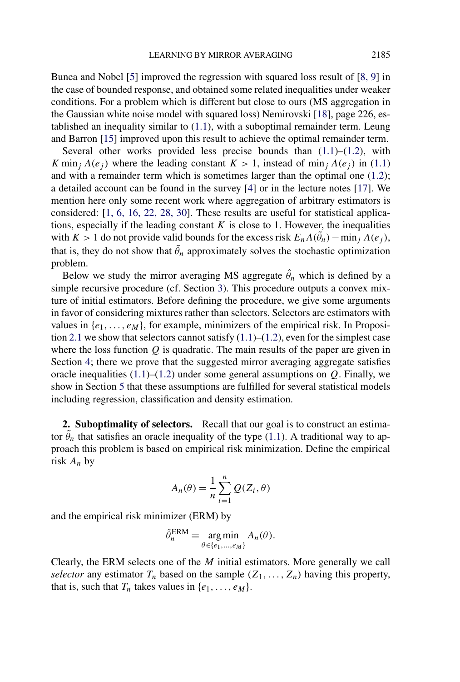Bunea and Nobel [\[5\]](#page-22-0) improved the regression with squared loss result of [\[8, 9\]](#page-22-0) in the case of bounded response, and obtained some related inequalities under weaker conditions. For a problem which is different but close to ours (MS aggregation in the Gaussian white noise model with squared loss) Nemirovski [\[18\]](#page-22-0), page 226, established an inequality similar to [\(1.1\)](#page-1-0), with a suboptimal remainder term. Leung and Barron [\[15\]](#page-22-0) improved upon this result to achieve the optimal remainder term.

Several other works provided less precise bounds than  $(1.1)$ – $(1.2)$ , with *K* min<sub>*j*</sub>  $A(e_i)$  where the leading constant  $K > 1$ , instead of min<sub>*j*</sub>  $A(e_i)$  in [\(1.1\)](#page-1-0) and with a remainder term which is sometimes larger than the optimal one [\(1.2\)](#page-1-0); a detailed account can be found in the survey [\[4\]](#page-22-0) or in the lecture notes [\[17\]](#page-22-0). We mention here only some recent work where aggregation of arbitrary estimators is considered: [\[1, 6, 16, 22, 28, 30\]](#page-22-0). These results are useful for statistical applications, especially if the leading constant  $K$  is close to 1. However, the inequalities with  $K > 1$  do not provide valid bounds for the excess risk  $E_n A(\tilde{\theta}_n) - \min_j A(e_j)$ , that is, they do not show that  $\tilde{\theta}_n$  approximately solves the stochastic optimization problem.

Below we study the mirror averaging MS aggregate  $\hat{\theta}_n$  which is defined by a simple recursive procedure (cf. Section [3\)](#page-4-0). This procedure outputs a convex mixture of initial estimators. Before defining the procedure, we give some arguments in favor of considering mixtures rather than selectors. Selectors are estimators with values in  $\{e_1, \ldots, e_M\}$ , for example, minimizers of the empirical risk. In Proposi-tion [2.1](#page-3-0) we show that selectors cannot satisfy  $(1.1)$ – $(1.2)$ , even for the simplest case where the loss function *Q* is quadratic. The main results of the paper are given in Section [4;](#page-6-0) there we prove that the suggested mirror averaging aggregate satisfies oracle inequalities  $(1.1)$ – $(1.2)$  under some general assumptions on  $Q$ . Finally, we show in Section [5](#page-10-0) that these assumptions are fulfilled for several statistical models including regression, classification and density estimation.

**2. Suboptimality of selectors.** Recall that our goal is to construct an estimator  $\tilde{\theta}_n$  that satisfies an oracle inequality of the type [\(1.1\)](#page-1-0). A traditional way to approach this problem is based on empirical risk minimization. Define the empirical risk *An* by

$$
A_n(\theta) = \frac{1}{n} \sum_{i=1}^n Q(Z_i, \theta)
$$

and the empirical risk minimizer (ERM) by

$$
\tilde{\theta}_n^{\text{ERM}} = \underset{\theta \in \{e_1, \dots, e_M\}}{\text{arg min}} A_n(\theta).
$$

Clearly, the ERM selects one of the *M* initial estimators. More generally we call *selector* any estimator  $T_n$  based on the sample  $(Z_1, \ldots, Z_n)$  having this property, that is, such that  $T_n$  takes values in  $\{e_1, \ldots, e_M\}$ .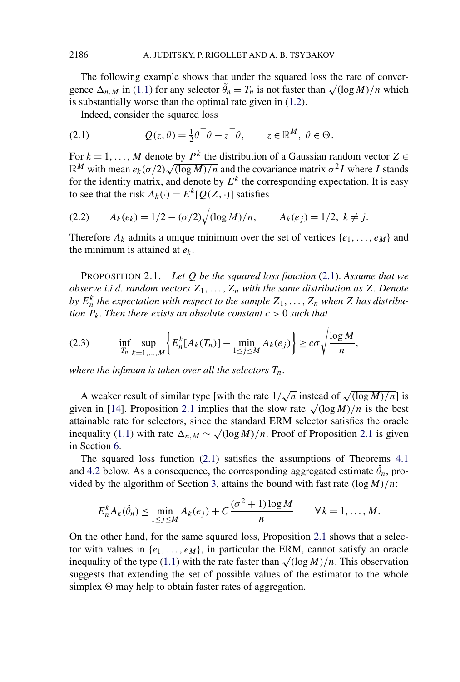<span id="page-3-0"></span>The following example shows that under the squared loss the rate of conver-The following example shows that under the squared loss the rate of convergence  $\Delta_{n,M}$  in [\(1.1\)](#page-1-0) for any selector  $\tilde{\theta}_n = T_n$  is not faster than  $\sqrt{(\log M)/n}$  which is substantially worse than the optimal rate given in [\(1.2\)](#page-1-0).

Indeed, consider the squared loss

(2.1) 
$$
Q(z,\theta) = \frac{1}{2}\theta^{\top}\theta - z^{\top}\theta, \qquad z \in \mathbb{R}^{M}, \ \theta \in \Theta.
$$

For  $k = 1, \ldots, M$  denote by  $P^k$  the distribution of a Gaussian random vector  $Z \in$ For  $\kappa = 1, ..., m$  denote by  $P^{\pi}$  the distribution of a Gaussian random vector  $\mathcal{Z} \in \mathbb{R}^M$  with mean  $e_k(\sigma/2)\sqrt{(\log M)/n}$  and the covariance matrix  $\sigma^2 I$  where *I* stands for the identity matrix, and denote by  $E^k$  the corresponding expectation. It is easy to see that the risk  $A_k(\cdot) = E^k[Q(Z, \cdot)]$  satisfies

(2.2) 
$$
A_k(e_k) = 1/2 - (\sigma/2)\sqrt{(\log M)/n}, \qquad A_k(e_j) = 1/2, \ k \neq j.
$$

Therefore  $A_k$  admits a unique minimum over the set of vertices  $\{e_1, \ldots, e_M\}$  and the minimum is attained at *ek*.

PROPOSITION 2.1. *Let Q be the squared loss function* (2.1). *Assume that we observe i.i.d. random vectors*  $Z_1, \ldots, Z_n$  *with the same distribution as* Z. Denote *by*  $E_n^k$  *the expectation with respect to the sample*  $Z_1, \ldots, Z_n$  *when*  $Z$  *has distribution*  $P_k$ . Then there exists an absolute constant  $c > 0$  such that

(2.3) 
$$
\inf_{T_n} \sup_{k=1,...,M} \left\{ E_n^k[A_k(T_n)] - \min_{1 \le j \le M} A_k(e_j) \right\} \ge c \sigma \sqrt{\frac{\log M}{n}},
$$

*where the infimum is taken over all the selectors Tn*.

A weaker result of similar type [with the rate  $1/\sqrt{n}$  instead of  $\sqrt{(\log M)/n}$ ] is given in [\[14\]](#page-22-0). Proposition 2.1 implies that the slow rate  $\sqrt{\frac{\log M}{n}}$  is the best attainable rate for selectors, since the standard ERM selector satisfies the oracle inequality [\(1.1\)](#page-1-0) with rate  $\Delta_{n,M} \sim \sqrt{\frac{\log M}{n}}$ . Proof of Proposition 2.1 is given in Section [6.](#page-21-0)

The squared loss function (2.1) satisfies the assumptions of Theorems [4.1](#page-6-0) and [4.2](#page-7-0) below. As a consequence, the corresponding aggregated estimate  $\hat{\theta}_n$ , provided by the algorithm of Section [3,](#page-4-0) attains the bound with fast rate *(*log*M)/n*:

$$
E_n^k A_k(\hat{\theta}_n) \leq \min_{1 \leq j \leq M} A_k(e_j) + C \frac{(\sigma^2 + 1) \log M}{n} \qquad \forall k = 1, ..., M.
$$

On the other hand, for the same squared loss, Proposition 2.1 shows that a selector with values in  $\{e_1, \ldots, e_M\}$ , in particular the ERM, cannot satisfy an oracle inequality of the type [\(1.1\)](#page-1-0) with the rate faster than  $\sqrt{\frac{\log M}{n}}$ . This observation suggests that extending the set of possible values of the estimator to the whole simplex  $\Theta$  may help to obtain faster rates of aggregation.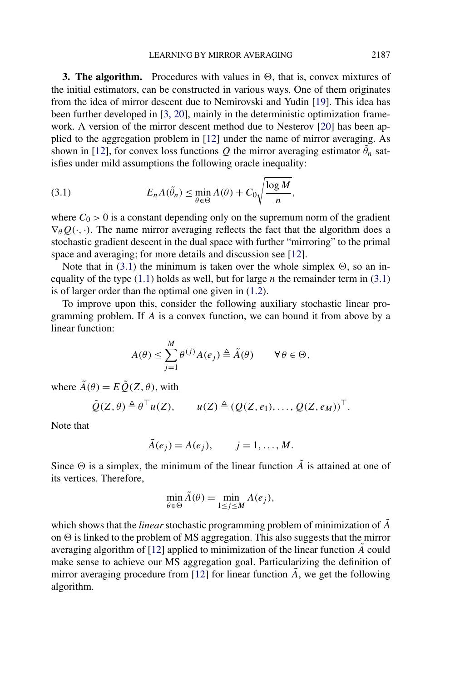<span id="page-4-0"></span>**3. The algorithm.** Procedures with values in  $\Theta$ , that is, convex mixtures of the initial estimators, can be constructed in various ways. One of them originates from the idea of mirror descent due to Nemirovski and Yudin [\[19\]](#page-22-0). This idea has been further developed in [\[3, 20\]](#page-22-0), mainly in the deterministic optimization framework. A version of the mirror descent method due to Nesterov [\[20\]](#page-22-0) has been applied to the aggregation problem in [\[12\]](#page-22-0) under the name of mirror averaging. As shown in [\[12\]](#page-22-0), for convex loss functions *Q* the mirror averaging estimator  $\tilde{\theta}_n$  satisfies under mild assumptions the following oracle inequality:

(3.1) 
$$
E_n A(\tilde{\theta}_n) \leq \min_{\theta \in \Theta} A(\theta) + C_0 \sqrt{\frac{\log M}{n}},
$$

where  $C_0 > 0$  is a constant depending only on the supremum norm of the gradient  $\nabla_{\theta} Q(\cdot, \cdot)$ . The name mirror averaging reflects the fact that the algorithm does a stochastic gradient descent in the dual space with further "mirroring" to the primal space and averaging; for more details and discussion see [\[12\]](#page-22-0).

Note that in  $(3.1)$  the minimum is taken over the whole simplex  $\Theta$ , so an inequality of the type  $(1.1)$  holds as well, but for large *n* the remainder term in  $(3.1)$ is of larger order than the optimal one given in [\(1.2\)](#page-1-0).

To improve upon this, consider the following auxiliary stochastic linear programming problem. If *A* is a convex function, we can bound it from above by a linear function:

$$
A(\theta) \le \sum_{j=1}^M \theta^{(j)} A(e_j) \triangleq \tilde{A}(\theta) \qquad \forall \theta \in \Theta,
$$

where  $\tilde{A}(\theta) = E \tilde{Q}(Z, \theta)$ , with

$$
\tilde{Q}(Z,\theta) \triangleq \theta^{\top}u(Z), \qquad u(Z) \triangleq (Q(Z,e_1), \ldots, Q(Z,e_M))^{\top}.
$$

Note that

$$
\tilde{A}(e_j) = A(e_j), \qquad j = 1, \ldots, M.
$$

Since  $\Theta$  is a simplex, the minimum of the linear function  $\tilde{A}$  is attained at one of its vertices. Therefore,

$$
\min_{\theta \in \Theta} \tilde{A}(\theta) = \min_{1 \le j \le M} A(e_j),
$$

which shows that the *linear* stochastic programming problem of minimization of *A*˜ on  $\Theta$  is linked to the problem of MS aggregation. This also suggests that the mirror averaging algorithm of  $[12]$  applied to minimization of the linear function  $\tilde{A}$  could make sense to achieve our MS aggregation goal. Particularizing the definition of mirror averaging procedure from  $[12]$  for linear function  $\ddot{A}$ , we get the following algorithm.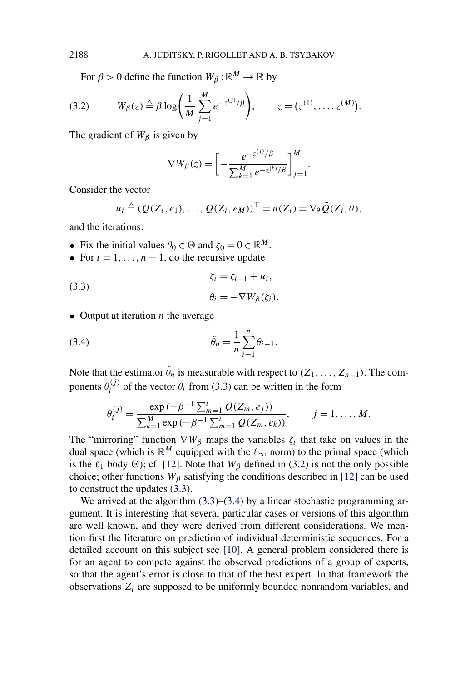For  $\beta > 0$  define the function  $W_\beta : \mathbb{R}^M \to \mathbb{R}$  by

(3.2) 
$$
W_{\beta}(z) \triangleq \beta \log \bigg( \frac{1}{M} \sum_{j=1}^{M} e^{-z^{(j)}/\beta} \bigg), \qquad z = (z^{(1)}, \ldots, z^{(M)}).
$$

The gradient of  $W_\beta$  is given by

$$
\nabla W_{\beta}(z) = \left[ -\frac{e^{-z^{(j)}/\beta}}{\sum_{k=1}^{M} e^{-z^{(k)}/\beta}} \right]_{j=1}^{M}
$$

*.*

Consider the vector

$$
u_i \triangleq (Q(Z_i, e_1), \ldots, Q(Z_i, e_M))^{\top} = u(Z_i) = \nabla_{\theta} \tilde{Q}(Z_i, \theta),
$$

and the iterations:

- Fix the initial values  $\theta_0 \in \Theta$  and  $\zeta_0 = 0 \in \mathbb{R}^M$ .
- For  $i = 1, \ldots, n 1$ , do the recursive update

(3.3) 
$$
\zeta_i = \zeta_{i-1} + u_i,
$$

$$
\theta_i = -\nabla W_\beta(\zeta_i).
$$

• Output at iteration *n* the average

(3.4) 
$$
\hat{\theta}_n = \frac{1}{n} \sum_{i=1}^n \theta_{i-1}.
$$

Note that the estimator  $\hat{\theta}_n$  is measurable with respect to  $(Z_1, \ldots, Z_{n-1})$ . The components  $\theta_i^{(j)}$  of the vector  $\theta_i$  from (3.3) can be written in the form

$$
\theta_i^{(j)} = \frac{\exp(-\beta^{-1} \sum_{m=1}^i Q(Z_m, e_j))}{\sum_{k=1}^M \exp(-\beta^{-1} \sum_{m=1}^i Q(Z_m, e_k))}, \qquad j = 1, ..., M.
$$

The "mirroring" function  $\nabla W_\beta$  maps the variables  $\zeta_i$  that take on values in the dual space (which is  $\mathbb{R}^M$  equipped with the  $\ell_{\infty}$  norm) to the primal space (which is the  $\ell_1$  body  $\Theta$ ); cf. [\[12\]](#page-22-0). Note that  $W_\beta$  defined in (3.2) is not the only possible choice; other functions  $W_\beta$  satisfying the conditions described in [\[12\]](#page-22-0) can be used to construct the updates (3.3).

We arrived at the algorithm  $(3.3)$ – $(3.4)$  by a linear stochastic programming argument. It is interesting that several particular cases or versions of this algorithm are well known, and they were derived from different considerations. We mention first the literature on prediction of individual deterministic sequences. For a detailed account on this subject see [\[10\]](#page-22-0). A general problem considered there is for an agent to compete against the observed predictions of a group of experts, so that the agent's error is close to that of the best expert. In that framework the observations  $Z_i$  are supposed to be uniformly bounded nonrandom variables, and

<span id="page-5-0"></span>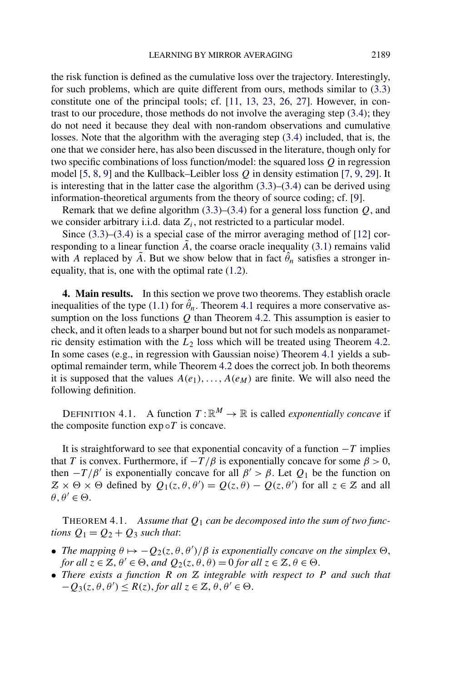<span id="page-6-0"></span>the risk function is defined as the cumulative loss over the trajectory. Interestingly, for such problems, which are quite different from ours, methods similar to [\(3.3\)](#page-5-0) constitute one of the principal tools; cf. [\[11, 13, 23, 26, 27\]](#page-22-0). However, in contrast to our procedure, those methods do not involve the averaging step [\(3.4\)](#page-5-0); they do not need it because they deal with non-random observations and cumulative losses. Note that the algorithm with the averaging step [\(3.4\)](#page-5-0) included, that is, the one that we consider here, has also been discussed in the literature, though only for two specific combinations of loss function/model: the squared loss *Q* in regression model [\[5, 8, 9\]](#page-22-0) and the Kullback–Leibler loss *Q* in density estimation [\[7, 9, 29\]](#page-22-0). It is interesting that in the latter case the algorithm  $(3.3)$ – $(3.4)$  can be derived using information-theoretical arguments from the theory of source coding; cf. [\[9\]](#page-22-0).

Remark that we define algorithm [\(3.3\)](#page-5-0)–[\(3.4\)](#page-5-0) for a general loss function *Q*, and we consider arbitrary i.i.d. data  $Z_i$ , not restricted to a particular model.

Since [\(3.3\)](#page-5-0)–[\(3.4\)](#page-5-0) is a special case of the mirror averaging method of [\[12\]](#page-22-0) corresponding to a linear function  $\tilde{A}$ , the coarse oracle inequality [\(3.1\)](#page-4-0) remains valid with *A* replaced by  $\tilde{A}$ . But we show below that in fact  $\hat{\theta}_n$  satisfies a stronger inequality, that is, one with the optimal rate [\(1.2\)](#page-1-0).

**4. Main results.** In this section we prove two theorems. They establish oracle inequalities of the type [\(1.1\)](#page-1-0) for  $\hat{\theta}_n$ . Theorem 4.1 requires a more conservative assumption on the loss functions *Q* than Theorem [4.2.](#page-7-0) This assumption is easier to check, and it often leads to a sharper bound but not for such models as nonparametric density estimation with the *L*<sup>2</sup> loss which will be treated using Theorem [4.2.](#page-7-0) In some cases (e.g., in regression with Gaussian noise) Theorem 4.1 yields a suboptimal remainder term, while Theorem [4.2](#page-7-0) does the correct job. In both theorems it is supposed that the values  $A(e_1), \ldots, A(e_M)$  are finite. We will also need the following definition.

DEFINITION 4.1. A function  $T: \mathbb{R}^M \to \mathbb{R}$  is called *exponentially concave* if the composite function  $exp \circ T$  is concave.

It is straightforward to see that exponential concavity of a function −*T* implies that *T* is convex. Furthermore, if  $-T/\beta$  is exponentially concave for some  $\beta > 0$ , then  $-T/\beta'$  is exponentially concave for all  $\beta' > \beta$ . Let  $Q_1$  be the function on  $Z \times \Theta \times \Theta$  defined by  $Q_1(z, \theta, \theta') = Q(z, \theta) - Q(z, \theta')$  for all  $z \in \mathcal{Z}$  and all  $\theta, \theta' \in \Theta$ .

THEOREM 4.1. *Assume that Q*<sup>1</sup> *can be decomposed into the sum of two functions*  $Q_1 = Q_2 + Q_3$  *such that*:

- *The mapping*  $\theta \mapsto -Q_2(z, \theta, \theta')/\beta$  *is exponentially concave on the simplex*  $\Theta$ , *for all*  $z \in \mathbb{Z}, \theta' \in \Theta$ , *and*  $Q_2(z, \theta, \theta) = 0$  *for all*  $z \in \mathbb{Z}, \theta \in \Theta$ .
- *There exists a function R on* Z *integrable with respect to P and such that*  $-Q_3(z, \theta, \theta') \le R(z)$ , *for all*  $z \in \mathbb{Z}, \theta, \theta' \in \Theta$ .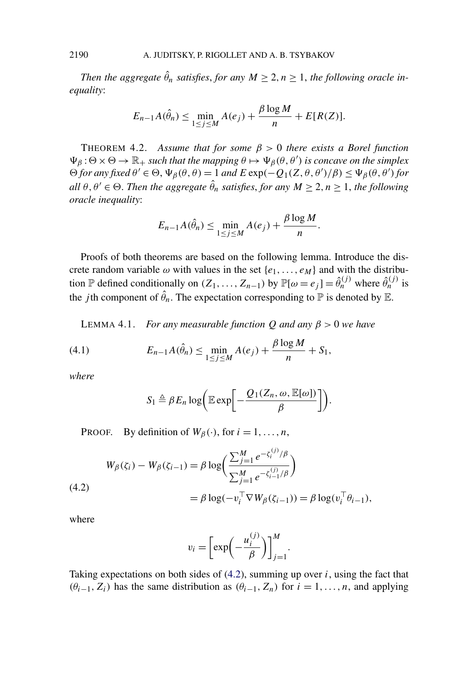*Then the aggregate*  $\hat{\theta}_n$  *satisfies, for any*  $M \geq 2, n \geq 1$ *, the following oracle inequality*:

$$
E_{n-1}A(\hat{\theta}_n) \le \min_{1 \le j \le M} A(e_j) + \frac{\beta \log M}{n} + E[R(Z)].
$$

THEOREM 4.2. *Assume that for some β >* 0 *there exists a Borel function*  $\Psi_{\beta}$ :  $\Theta \times \Theta \to \mathbb{R}_+$  *such that the mapping*  $\theta \mapsto \Psi_{\beta}(\theta, \theta')$  *is concave on the simplex*  $\Theta$  *for any fixed*  $\theta' \in \Theta$ ,  $\Psi_{\beta}(\theta, \theta) = 1$  *and*  $E \exp(-Q_1(Z, \theta, \theta')/\beta) \leq \Psi_{\beta}(\theta, \theta')$  *for*  $all \theta, \theta' \in \Theta$ . Then the aggregate  $\hat{\theta}_n$  satisfies, for any  $M \geq 2, n \geq 1$ , the following *oracle inequality*:

$$
E_{n-1}A(\hat{\theta}_n) \leq \min_{1 \leq j \leq M} A(e_j) + \frac{\beta \log M}{n}.
$$

Proofs of both theorems are based on the following lemma. Introduce the discrete random variable  $\omega$  with values in the set  $\{e_1, \ldots, e_M\}$  and with the distribution P defined conditionally on  $(Z_1, \ldots, Z_{n-1})$  by  $\mathbb{P}[\omega = e_j] = \hat{\theta}_n^{(j)}$  where  $\hat{\theta}_n^{(j)}$  is the *j*th component of  $\hat{\theta}_n$ . The expectation corresponding to  $\mathbb P$  is denoted by  $\mathbb E$ .

LEMMA 4.1. *For any measurable function*  $Q$  *and any*  $\beta > 0$  *we have* 

(4.1) 
$$
E_{n-1}A(\hat{\theta}_n) \leq \min_{1 \leq j \leq M} A(e_j) + \frac{\beta \log M}{n} + S_1,
$$

*where*

$$
S_1 \triangleq \beta E_n \log \bigg( \mathbb{E} \exp \bigg[ -\frac{Q_1(Z_n, \omega, \mathbb{E}[\omega])}{\beta} \bigg] \bigg).
$$

PROOF. By definition of  $W_\beta(\cdot)$ , for  $i = 1, \ldots, n$ ,

(4.2)  
\n
$$
W_{\beta}(\zeta_{i}) - W_{\beta}(\zeta_{i-1}) = \beta \log \left( \frac{\sum_{j=1}^{M} e^{-\zeta_{i}^{(j)}} / \beta}{\sum_{j=1}^{M} e^{-\zeta_{i-1}^{(j)}} / \beta} \right)
$$
\n
$$
= \beta \log(-v_{i}^{\top} \nabla W_{\beta}(\zeta_{i-1})) = \beta \log(v_{i}^{\top} \theta_{i-1}),
$$

where

$$
v_i = \left[\exp\left(-\frac{u_i^{(j)}}{\beta}\right)\right]_{j=1}^M.
$$

Taking expectations on both sides of (4.2), summing up over *i*, using the fact that  $(θ<sub>i−1</sub>, Z<sub>i</sub>)$  has the same distribution as  $(θ<sub>i−1</sub>, Z<sub>n</sub>)$  for  $i = 1, ..., n$ , and applying

<span id="page-7-0"></span>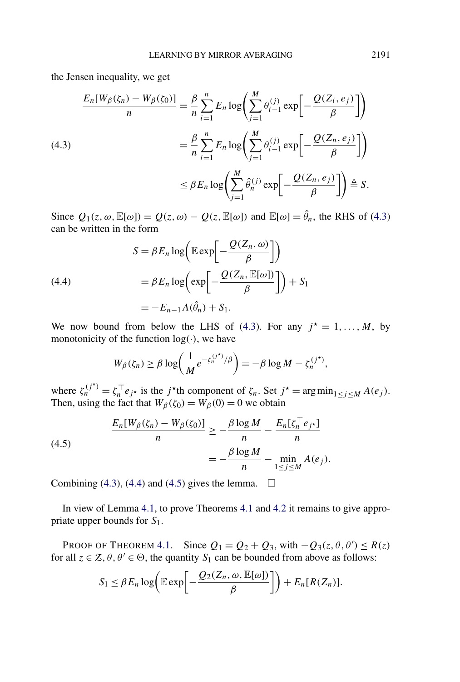the Jensen inequality, we get

$$
\frac{E_n[W_\beta(\zeta_n) - W_\beta(\zeta_0)]}{n} = \frac{\beta}{n} \sum_{i=1}^n E_n \log \left( \sum_{j=1}^M \theta_{i-1}^{(j)} \exp \left[ -\frac{Q(Z_i, e_j)}{\beta} \right] \right)
$$
  

$$
= \frac{\beta}{n} \sum_{i=1}^n E_n \log \left( \sum_{j=1}^M \theta_{i-1}^{(j)} \exp \left[ -\frac{Q(Z_n, e_j)}{\beta} \right] \right)
$$
  

$$
\leq \beta E_n \log \left( \sum_{j=1}^M \hat{\theta}_n^{(j)} \exp \left[ -\frac{Q(Z_n, e_j)}{\beta} \right] \right) \triangleq S.
$$

Since  $Q_1(z, \omega, \mathbb{E}[\omega]) = Q(z, \omega) - Q(z, \mathbb{E}[\omega])$  and  $\mathbb{E}[\omega] = \hat{\theta}_n$ , the RHS of (4.3) can be written in the form

(4.4)  
\n
$$
S = \beta E_n \log \left( \mathbb{E} \exp \left[ -\frac{\mathcal{Q}(Z_n, \omega)}{\beta} \right] \right)
$$
\n
$$
= \beta E_n \log \left( \exp \left[ -\frac{\mathcal{Q}(Z_n, \mathbb{E}[\omega])}{\beta} \right] \right) + S_1
$$
\n
$$
= -E_{n-1} A(\hat{\theta}_n) + S_1.
$$

We now bound from below the LHS of (4.3). For any  $j^* = 1, \ldots, M$ , by monotonicity of the function  $log(·)$ , we have

$$
W_{\beta}(\zeta_n) \geq \beta \log \left( \frac{1}{M} e^{-\zeta_n^{(j^*)}/\beta} \right) = -\beta \log M - \zeta_n^{(j^*)},
$$

where  $\zeta_n^{(j^*)} = \zeta_n^{\top} e_{j^*}$  is the *j*<sup>\*</sup>th component of  $\zeta_n$ . Set  $j^* = \arg \min_{1 \le j \le M} A(e_j)$ . Then, using the fact that  $W_\beta(\zeta_0) = W_\beta(0) = 0$  we obtain

(4.5) 
$$
\frac{E_n[W_\beta(\zeta_n) - W_\beta(\zeta_0)]}{n} \ge -\frac{\beta \log M}{n} - \frac{E_n[\zeta_n^\top e_{j^\star}]}{n}
$$

$$
= -\frac{\beta \log M}{n} - \min_{1 \le j \le M} A(e_j).
$$

Combining (4.3), (4.4) and (4.5) gives the lemma.  $\square$ 

In view of Lemma [4.1,](#page-7-0) to prove Theorems [4.1](#page-6-0) and [4.2](#page-7-0) it remains to give appropriate upper bounds for *S*1.

PROOF OF THEOREM [4.1.](#page-6-0) Since  $Q_1 = Q_2 + Q_3$ , with  $-Q_3(z, \theta, \theta') \le R(z)$ for all  $z \in \mathcal{Z}, \theta, \theta' \in \Theta$ , the quantity  $S_1$  can be bounded from above as follows:

$$
S_1 \leq \beta E_n \log \bigg( \mathbb{E} \exp \bigg[ -\frac{Q_2(Z_n, \omega, \mathbb{E}[\omega])}{\beta} \bigg] \bigg) + E_n[R(Z_n)].
$$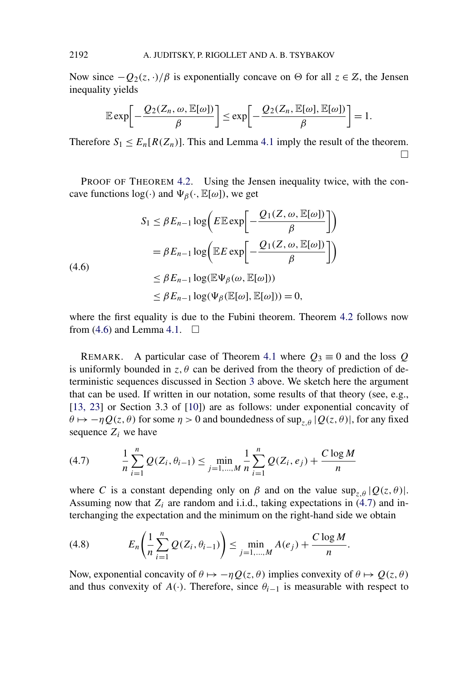Now since  $-Q_2(z, \cdot)/\beta$  is exponentially concave on  $\Theta$  for all  $z \in \mathbb{Z}$ , the Jensen inequality yields

$$
\mathbb{E} \exp \biggl[ -\frac{\mathcal{Q}_2(Z_n, \omega, \mathbb{E}[\omega])}{\beta} \biggr] \le \exp \biggl[ -\frac{\mathcal{Q}_2(Z_n, \mathbb{E}[\omega], \mathbb{E}[\omega])}{\beta} \biggr] = 1.
$$

Therefore  $S_1 \leq E_n[R(Z_n)]$ . This and Lemma [4.1](#page-7-0) imply the result of the theorem.  $\Box$ 

PROOF OF THEOREM [4.2.](#page-7-0) Using the Jensen inequality twice, with the concave functions  $log(\cdot)$  and  $\Psi_{\beta}(\cdot, \mathbb{E}[\omega])$ , we get

$$
S_1 \leq \beta E_{n-1} \log \left( E \mathbb{E} \exp \left[ -\frac{Q_1(Z, \omega, \mathbb{E}[\omega])}{\beta} \right] \right)
$$
  
=  $\beta E_{n-1} \log \left( \mathbb{E} E \exp \left[ -\frac{Q_1(Z, \omega, \mathbb{E}[\omega])}{\beta} \right] \right)$   
 $\leq \beta E_{n-1} \log(\mathbb{E} \Psi_\beta(\omega, \mathbb{E}[\omega]))$   
 $\leq \beta E_{n-1} \log(\Psi_\beta(\mathbb{E}[\omega], \mathbb{E}[\omega])) = 0,$ 

where the first equality is due to the Fubini theorem. Theorem [4.2](#page-7-0) follows now from (4.6) and Lemma [4.1.](#page-7-0)  $\Box$ 

REMARK. A particular case of Theorem [4.1](#page-6-0) where  $Q_3 \equiv 0$  and the loss  $Q$ is uniformly bounded in  $z, \theta$  can be derived from the theory of prediction of deterministic sequences discussed in Section [3](#page-4-0) above. We sketch here the argument that can be used. If written in our notation, some results of that theory (see, e.g., [\[13, 23\]](#page-22-0) or Section 3.3 of [\[10\]](#page-22-0)) are as follows: under exponential concavity of  $\theta \mapsto -\eta Q(z, \theta)$  for some  $\eta > 0$  and boundedness of sup<sub>z $\theta$ </sub> |  $Q(z, \theta)$ |, for any fixed sequence  $Z_i$  we have

(4.7) 
$$
\frac{1}{n}\sum_{i=1}^{n}Q(Z_i,\theta_{i-1})\leq \min_{j=1,\dots,M}\frac{1}{n}\sum_{i=1}^{n}Q(Z_i,e_j)+\frac{C\log M}{n}
$$

where *C* is a constant depending only on  $\beta$  and on the value sup<sub>z  $\theta$ </sub> |  $Q(z, \theta)$ |. Assuming now that  $Z_i$  are random and i.i.d., taking expectations in  $(4.7)$  and interchanging the expectation and the minimum on the right-hand side we obtain

(4.8) 
$$
E_n\left(\frac{1}{n}\sum_{i=1}^n Q(Z_i,\theta_{i-1})\right) \leq \min_{j=1,\dots,M} A(e_j) + \frac{C \log M}{n}.
$$

Now, exponential concavity of  $\theta \mapsto -\eta Q(z, \theta)$  implies convexity of  $\theta \mapsto Q(z, \theta)$ and thus convexity of *A*(·). Therefore, since  $\theta_{i-1}$  is measurable with respect to

<span id="page-9-0"></span>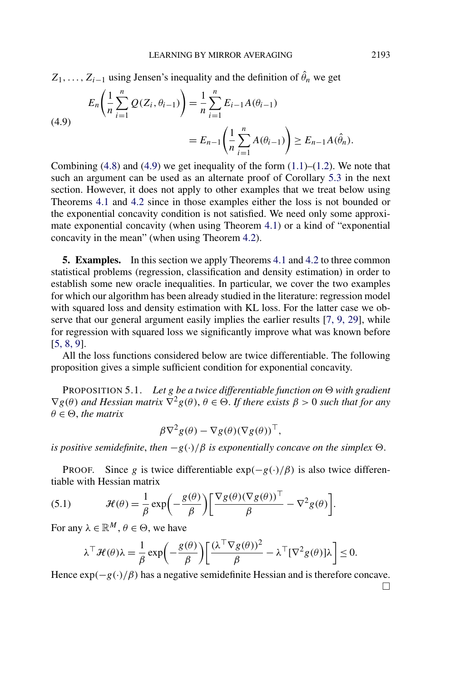<span id="page-10-0"></span>
$$
Z_1, \ldots, Z_{i-1}
$$
 using Jensen's inequality and the definition of  $\hat{\theta}_n$  we get

(4.9) 
$$
E_n\left(\frac{1}{n}\sum_{i=1}^n Q(Z_i, \theta_{i-1})\right) = \frac{1}{n}\sum_{i=1}^n E_{i-1}A(\theta_{i-1})
$$

$$
= E_{n-1}\left(\frac{1}{n}\sum_{i=1}^n A(\theta_{i-1})\right) \ge E_{n-1}A(\hat{\theta}_n).
$$

Combining  $(4.8)$  and  $(4.9)$  we get inequality of the form  $(1.1)$ – $(1.2)$ . We note that such an argument can be used as an alternate proof of Corollary [5.3](#page-14-0) in the next section. However, it does not apply to other examples that we treat below using Theorems [4.1](#page-6-0) and [4.2](#page-7-0) since in those examples either the loss is not bounded or the exponential concavity condition is not satisfied. We need only some approximate exponential concavity (when using Theorem [4.1\)](#page-6-0) or a kind of "exponential concavity in the mean" (when using Theorem [4.2\)](#page-7-0).

**5. Examples.** In this section we apply Theorems [4.1](#page-6-0) and [4.2](#page-7-0) to three common statistical problems (regression, classification and density estimation) in order to establish some new oracle inequalities. In particular, we cover the two examples for which our algorithm has been already studied in the literature: regression model with squared loss and density estimation with KL loss. For the latter case we observe that our general argument easily implies the earlier results [\[7, 9, 29\]](#page-22-0), while for regression with squared loss we significantly improve what was known before [\[5, 8, 9\]](#page-22-0).

All the loss functions considered below are twice differentiable. The following proposition gives a simple sufficient condition for exponential concavity.

**PROPOSITION 5.1.** Let  $g$  be a twice differentiable function on  $\Theta$  with gradient  $\nabla g(\theta)$  and Hessian matrix  $\nabla^2 g(\theta), \theta \in \Theta$ . If there exists  $\beta > 0$  such that for any  $\theta \in \Theta$ , *the matrix* 

$$
\beta \nabla^2 g(\theta) - \nabla g(\theta) (\nabla g(\theta))^\top,
$$

*is positive semidefinite, then*  $-g(\cdot)/\beta$  *is exponentially concave on the simplex*  $\Theta$ *.* 

PROOF. Since *g* is twice differentiable  $exp(-g(\cdot)/\beta)$  is also twice differentiable with Hessian matrix

(5.1) 
$$
\mathcal{H}(\theta) = \frac{1}{\beta} \exp\left(-\frac{g(\theta)}{\beta}\right) \left[\frac{\nabla g(\theta)(\nabla g(\theta))^\top}{\beta} - \nabla^2 g(\theta)\right].
$$

For any  $\lambda \in \mathbb{R}^M$ ,  $\theta \in \Theta$ , we have

$$
\lambda^{\top} \mathcal{H}(\theta) \lambda = \frac{1}{\beta} \exp \left(-\frac{g(\theta)}{\beta}\right) \left[\frac{(\lambda^{\top} \nabla g(\theta))^2}{\beta} - \lambda^{\top} [\nabla^2 g(\theta)] \lambda\right] \le 0.
$$

Hence  $\exp(-g(\cdot)/\beta)$  has a negative semidefinite Hessian and is therefore concave.  $\Box$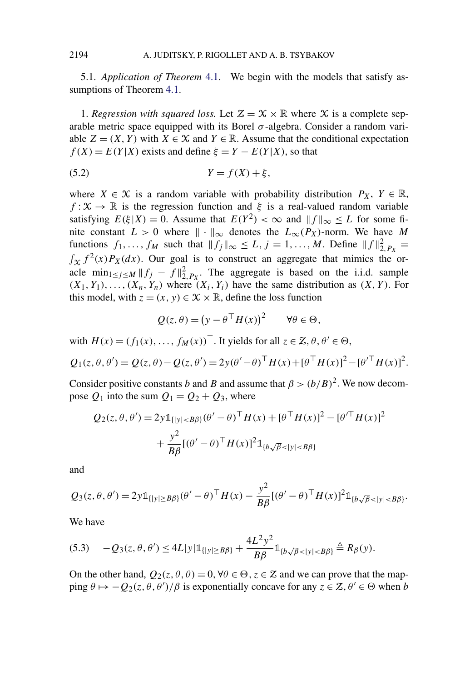<span id="page-11-0"></span>5.1. *Application of Theorem* [4.1.](#page-6-0) We begin with the models that satisfy assumptions of Theorem [4.1.](#page-6-0)

1. *Regression with squared loss.* Let  $\mathcal{Z} = \mathcal{X} \times \mathbb{R}$  where X is a complete separable metric space equipped with its Borel  $\sigma$ -algebra. Consider a random variable  $Z = (X, Y)$  with  $X \in \mathcal{X}$  and  $Y \in \mathbb{R}$ . Assume that the conditional expectation  $f(X) = E(Y|X)$  exists and define  $\xi = Y - E(Y|X)$ , so that

$$
(5.2) \t\t Y = f(X) + \xi,
$$

where  $X \in \mathcal{X}$  is a random variable with probability distribution  $P_X$ ,  $Y \in \mathbb{R}$ ,  $f: \mathcal{X} \to \mathbb{R}$  is the regression function and  $\xi$  is a real-valued random variable satisfying  $E(\xi|X) = 0$ . Assume that  $E(Y^2) < \infty$  and  $||f||_{\infty} \le L$  for some finite constant  $L > 0$  where  $|| \cdot ||_{\infty}$  denotes the  $L_{\infty}(P_X)$ -norm. We have M functions  $f_1, \ldots, f_M$  such that  $||f_j||_{\infty} \le L, j = 1, \ldots, M$ . Define  $||f||_{2, P_X}^2 =$  $\int_{\mathcal{X}} f^2(x) P_X(dx)$ . Our goal is to construct an aggregate that mimics the oracle  $\min_{1 \le j \le M} \|f_j - f\|_{2, P_X}^2$ . The aggregate is based on the i.i.d. sample  $(X_1, Y_1), \ldots, (X_n, Y_n)$  where  $(X_i, Y_i)$  have the same distribution as  $(X, Y)$ . For this model, with  $z = (x, y) \in \mathcal{X} \times \mathbb{R}$ , define the loss function

$$
Q(z,\theta) = (y - \theta^\top H(x))^2 \qquad \forall \theta \in \Theta,
$$

with  $H(x) = (f_1(x), \ldots, f_M(x))^{\top}$ . It yields for all  $z \in \mathcal{Z}, \theta, \theta' \in \Theta$ ,

$$
Q_1(z, \theta, \theta') = Q(z, \theta) - Q(z, \theta') = 2y(\theta' - \theta)^{\top} H(x) + [\theta^{\top} H(x)]^2 - [\theta'^{\top} H(x)]^2.
$$

Consider positive constants *b* and *B* and assume that  $\beta > (b/B)^2$ . We now decompose  $Q_1$  into the sum  $Q_1 = Q_2 + Q_3$ , where

$$
Q_2(z, \theta, \theta') = 2y \mathbb{1}_{\{|y| < B\beta\}} (\theta' - \theta)^{\top} H(x) + [\theta^{\top} H(x)]^2 - [\theta'^{\top} H(x)]^2
$$
\n
$$
+ \frac{y^2}{B\beta} [(\theta' - \theta)^{\top} H(x)]^2 \mathbb{1}_{\{b\sqrt{\beta} < |y| < B\beta\}}
$$

and

$$
Q_3(z,\theta,\theta') = 2y\mathbb{1}_{\{|y| \ge B\beta\}}(\theta' - \theta)^{\top}H(x) - \frac{y^2}{B\beta}[(\theta' - \theta)^{\top}H(x)]^2\mathbb{1}_{\{b\sqrt{\beta} < |y| < B\beta\}}.
$$

We have

$$
(5.3) \t -Q_3(z,\theta,\theta') \le 4L|y|\mathbb{1}_{\{|y| \ge B\beta\}} + \frac{4L^2y^2}{B\beta}\mathbb{1}_{\{b\sqrt{\beta} < |y| < B\beta\}} \triangleq R_\beta(y).
$$

On the other hand,  $Q_2(z, \theta, \theta) = 0$ ,  $\forall \theta \in \Theta$ ,  $z \in \mathbb{Z}$  and we can prove that the map- $\lim_{\lambda \to 0} \theta \mapsto -Q_2(z, \theta, \theta')/\beta$  is exponentially concave for any  $z \in \mathcal{Z}, \theta' \in \Theta$  when *b*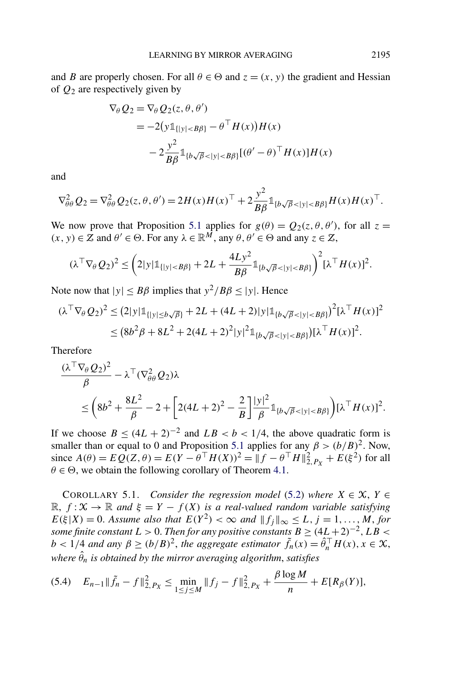<span id="page-12-0"></span>and *B* are properly chosen. For all  $\theta \in \Theta$  and  $z = (x, y)$  the gradient and Hessian of *Q*<sup>2</sup> are respectively given by

$$
\nabla_{\theta} Q_2 = \nabla_{\theta} Q_2(z, \theta, \theta')
$$
  
= -2(y1<sub>{|y|} - \theta<sup>T</sup> H(x))H(x)  
- 2\frac{y^2}{B\beta}1\_{b\sqrt{\beta}<|y|T H(x)]H(x)</sub>

and

$$
\nabla_{\theta\theta}^{2} Q_{2} = \nabla_{\theta\theta}^{2} Q_{2}(z, \theta, \theta') = 2H(x)H(x)^{\top} + 2\frac{y^{2}}{B\beta}\mathbb{1}_{\{b\sqrt{\beta}<|y|
$$

We now prove that Proposition [5.1](#page-10-0) applies for  $g(\theta) = Q_2(z, \theta, \theta')$ , for all  $z =$  $(x, y) \in \mathbb{Z}$  and  $\theta' \in \Theta$ . For any  $\lambda \in \mathbb{R}^M$ , any  $\theta, \theta' \in \Theta$  and any  $z \in \mathbb{Z}$ ,

$$
(\lambda^{\top} \nabla_{\theta} Q_{2})^{2} \leq \left(2|y| \mathbb{1}_{\{|y| < B\beta\}} + 2L + \frac{4L y^{2}}{B\beta} \mathbb{1}_{\{b\sqrt{\beta} < |y| < B\beta\}}\right)^{2} [\lambda^{\top} H(x)]^{2}.
$$

Note now that  $|y| \leq B\beta$  implies that  $y^2/B\beta \leq |y|$ . Hence

$$
(\lambda^{\top} \nabla_{\theta} Q_{2})^{2} \leq (2|y| \mathbb{1}_{\{|y| \leq b\sqrt{\beta}\}} + 2L + (4L + 2)|y| \mathbb{1}_{\{b\sqrt{\beta} < |y| < B\beta\}})^{2} [\lambda^{\top} H(x)]^{2}
$$
\n
$$
\leq (8b^{2}\beta + 8L^{2} + 2(4L + 2)^{2}|y|^{2} \mathbb{1}_{\{b\sqrt{\beta} < |y| < B\beta\}}) [\lambda^{\top} H(x)]^{2}.
$$

Therefore

$$
\frac{(\lambda^\top \nabla_\theta Q_2)^2}{\beta} - \lambda^\top (\nabla_{\theta\theta}^2 Q_2) \lambda
$$
  

$$
\leq \left(8b^2 + \frac{8L^2}{\beta} - 2 + \left[2(4L+2)^2 - \frac{2}{B}\right] \frac{|y|^2}{\beta} 1_{\{b\sqrt{\beta} < |y| < B\beta\}} \right) [\lambda^\top H(x)]^2.
$$

If we choose  $B < (4L + 2)^{-2}$  and  $LB < b < 1/4$ , the above quadratic form is smaller than or equal to 0 and Proposition [5.1](#page-10-0) applies for any  $\beta > (b/B)^2$ . Now, since  $A(\theta) = EQ(Z, \theta) = E(Y - \theta^\top H(X))^2 = ||f - \theta^\top H||_{2, P_X}^2 + E(\xi^2)$  for all  $\theta \in \Theta$ , we obtain the following corollary of Theorem [4.1.](#page-6-0)

COROLLARY 5.1. *Consider the regression model* [\(5.2\)](#page-11-0) *where*  $X \in \mathcal{X}$ ,  $Y \in$  $\mathbb{R}, f: \mathcal{X} \to \mathbb{R}$  *and*  $\xi = Y - f(X)$  *is a real-valued random variable satisfying*  $E(\xi|X) = 0$ . Assume also that  $E(Y^2) < \infty$  and  $||f_j||_{\infty} \le L, j = 1, ..., M$ , for *some finite constant*  $L > 0$ *. Then for any positive constants*  $B \geq (4L+2)^{-2}$ *,*  $LB <$ *b* < 1/4 *and any*  $\beta \ge (b/B)^2$ , *the aggregate estimator*  $\tilde{f}_n(x) = \hat{\theta}_n^{\top} H(x), x \in \mathcal{X}$ , *where θ*ˆ *<sup>n</sup> is obtained by the mirror averaging algorithm*, *satisfies*

$$
(5.4) \quad E_{n-1} \|\tilde{f}_n - f\|_{2, P_X}^2 \le \min_{1 \le j \le M} \|f_j - f\|_{2, P_X}^2 + \frac{\beta \log M}{n} + E[R_\beta(Y)],
$$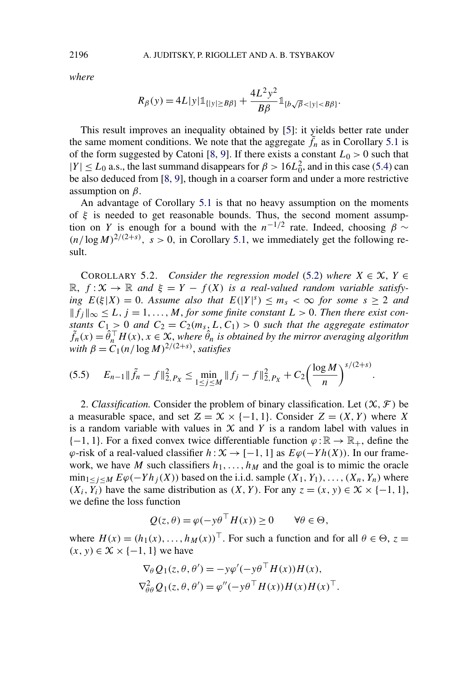*where*

$$
R_{\beta}(y) = 4L|y|\mathbb{1}_{\{|y| \ge B\beta\}} + \frac{4L^2y^2}{B\beta} \mathbb{1}_{\{b\sqrt{\beta} < |y| < B\beta\}}.
$$

This result improves an inequality obtained by [\[5\]](#page-22-0): it yields better rate under the same moment conditions. We note that the aggregate  $\tilde{f}_n$  as in Corollary [5.1](#page-12-0) is of the form suggested by Catoni [\[8, 9\]](#page-22-0). If there exists a constant  $L_0 > 0$  such that  $|Y| \le L_0$  a.s., the last summand disappears for  $\beta > 16L_0^2$ , and in this case [\(5.4\)](#page-12-0) can be also deduced from [\[8, 9\]](#page-22-0), though in a coarser form and under a more restrictive assumption on *β*.

An advantage of Corollary [5.1](#page-12-0) is that no heavy assumption on the moments of *ξ* is needed to get reasonable bounds. Thus, the second moment assumption on *Y* is enough for a bound with the  $n^{-1/2}$  rate. Indeed, choosing  $\beta \sim$  $(n/\log M)^{2/(2+s)}$ ,  $s > 0$ , in Corollary [5.1,](#page-12-0) we immediately get the following result.

COROLLARY 5.2. *Consider the regression model* [\(5.2\)](#page-11-0) *where*  $X \in \mathcal{X}$ ,  $Y \in$  $\mathbb{R}, f: \mathcal{X} \to \mathbb{R}$  and  $\xi = Y - f(X)$  is a real-valued random variable satisfy*ing*  $E(\xi|X) = 0$ . *Assume also that*  $E(|Y|^s) \le m_s < \infty$  *for some*  $s \ge 2$  *and*  $||f_i||_\infty$  ≤ *L*, *j* = 1, ..., *M*, *for some finite constant L* > 0. *Then there exist constants*  $C_1 > 0$  *and*  $C_2 = C_2(m_s, L, C_1) > 0$  *such that the aggregate estimator*  $\tilde{f}_n(x) = \tilde{\theta}_n^\top H(x), x \in \mathcal{X},$  where  $\hat{\theta}_n$  is obtained by the mirror averaging algorithm *with*  $\beta = C_1(n/\log M)^{2/(2+s)}$ , *satisfies* 

$$
(5.5) \t E_{n-1} \|\tilde{f}_n - f\|_{2,P_X}^2 \leq \min_{1 \leq j \leq M} \|f_j - f\|_{2,P_X}^2 + C_2 \left(\frac{\log M}{n}\right)^{s/(2+s)}.
$$

2. *Classification.* Consider the problem of binary classification. Let  $(\mathcal{X}, \mathcal{F})$  be a measurable space, and set  $\mathcal{Z} = \mathcal{X} \times \{-1, 1\}$ . Consider  $\mathcal{Z} = (X, Y)$  where X is a random variable with values in  $X$  and  $Y$  is a random label with values in  $\{-1, 1\}$ . For a fixed convex twice differentiable function  $\varphi : \mathbb{R} \to \mathbb{R}_+$ , define the  $\varphi$ -risk of a real-valued classifier  $h: X \to [-1, 1]$  as  $E\varphi(-Yh(X))$ . In our framework, we have *M* such classifiers  $h_1, \ldots, h_M$  and the goal is to mimic the oracle  $\min_{1 \leq j \leq M} E\varphi(-Yh_j(X))$  based on the i.i.d. sample  $(X_1, Y_1), \ldots, (X_n, Y_n)$  where *(X<sub>i</sub>,Y<sub>i</sub>)* have the same distribution as *(X,Y)*. For any *z* = *(x,y)* ∈  $X$  × {−1*,* 1}, we define the loss function

$$
Q(z, \theta) = \varphi(-y\theta^\top H(x)) \ge 0 \quad \forall \theta \in \Theta,
$$

where  $H(x) = (h_1(x), \dots, h_M(x))^T$ . For such a function and for all  $\theta \in \Theta$ ,  $z =$  $(x, y)$  ∈  $X$  × {−1, 1} we have

$$
\nabla_{\theta} Q_1(z, \theta, \theta') = -y \varphi'(-y \theta^{\top} H(x)) H(x),
$$
  

$$
\nabla_{\theta\theta}^2 Q_1(z, \theta, \theta') = \varphi''(-y \theta^{\top} H(x)) H(x) H(x)^{\top}.
$$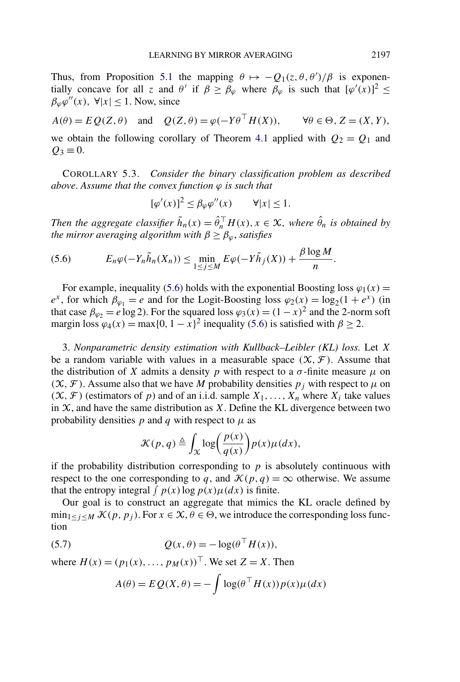<span id="page-14-0"></span>Thus, from Proposition [5.1](#page-10-0) the mapping  $\theta \mapsto -Q_1(z, \theta, \theta')/\beta$  is exponentially concave for all *z* and  $\theta'$  if  $\hat{\beta} \geq \hat{\beta}_{\varphi}$  where  $\hat{\beta}_{\varphi}$  is such that  $[\varphi'(x)]^2 \leq$  $\beta_{\varphi}\varphi''(x)$ ,  $\forall |x| \leq 1$ . Now, since

$$
A(\theta) = E Q(Z, \theta)
$$
 and  $Q(Z, \theta) = \varphi(-Y\theta^\top H(X)), \forall \theta \in \Theta, Z = (X, Y),$ 

we obtain the following corollary of Theorem [4.1](#page-6-0) applied with  $Q_2 = Q_1$  and  $Q_3 \equiv 0$ .

COROLLARY 5.3. *Consider the binary classification problem as described above. Assume that the convex function*  $\varphi$  *is such that* 

$$
[\varphi'(x)]^2 \le \beta_{\varphi} \varphi''(x) \qquad \forall |x| \le 1.
$$

*Then the aggregate classifier*  $\tilde{h}_n(x) = \hat{\theta}_n^\top H(x), x \in \mathcal{X}$ , where  $\hat{\theta}_n$  *is obtained by the mirror averaging algorithm with*  $\beta \geq \beta_{\varphi}$ *, satisfies* 

$$
(5.6) \tE_n\varphi(-Y_n\tilde{h}_n(X_n))\leq \min_{1\leq j\leq M}E\varphi(-Y\tilde{h}_j(X))+\frac{\beta\log M}{n}.
$$

For example, inequality (5.6) holds with the exponential Boosting loss  $\varphi_1(x)$  =  $e^x$ , for which  $\beta_{\varphi_1} = e$  and for the Logit-Boosting loss  $\varphi_2(x) = \log_2(1 + e^x)$  (in that case  $\beta_{\varphi_2} = e \log 2$ ). For the squared loss  $\varphi_3(x) = (1 - x)^2$  and the 2-norm soft margin loss  $\varphi_4(x) = \max\{0, 1 - x\}^2$  inequality (5.6) is satisfied with  $\beta \ge 2$ .

3. *Nonparametric density estimation with Kullback–Leibler (KL) loss.* Let *X* be a random variable with values in a measurable space  $(X, \mathcal{F})$ . Assume that the distribution of *X* admits a density *p* with respect to a  $\sigma$ -finite measure  $\mu$  on  $(X, F)$ . Assume also that we have *M* probability densities  $p_j$  with respect to  $\mu$  on  $(X, \mathcal{F})$  (estimators of *p*) and of an i.i.d. sample  $X_1, \ldots, X_n$  where  $X_i$  take values in  $X$ , and have the same distribution as  $X$ . Define the KL divergence between two probability densities  $p$  and  $q$  with respect to  $\mu$  as

$$
\mathcal{K}(p,q) \triangleq \int_{\mathcal{X}} \log \bigg( \frac{p(x)}{q(x)} \bigg) p(x) \mu(dx),
$$

if the probability distribution corresponding to  $p$  is absolutely continuous with respect to the one corresponding to q, and  $\mathcal{K}(p,q) = \infty$  otherwise. We assume that the entropy integral  $\int p(x) \log p(x) \mu(dx)$  is finite.

Our goal is to construct an aggregate that mimics the KL oracle defined by  $\min_{1 \le j \le M} \mathcal{K}(p, p_j)$ . For  $x \in \mathcal{X}, \theta \in \Theta$ , we introduce the corresponding loss function

(5.7) 
$$
Q(x,\theta) = -\log(\theta^\top H(x)),
$$

where  $H(x) = (p_1(x), ..., p_M(x))^T$ . We set  $Z = X$ . Then

$$
A(\theta) = E Q(X, \theta) = -\int \log(\theta^\top H(x)) p(x) \mu(dx)
$$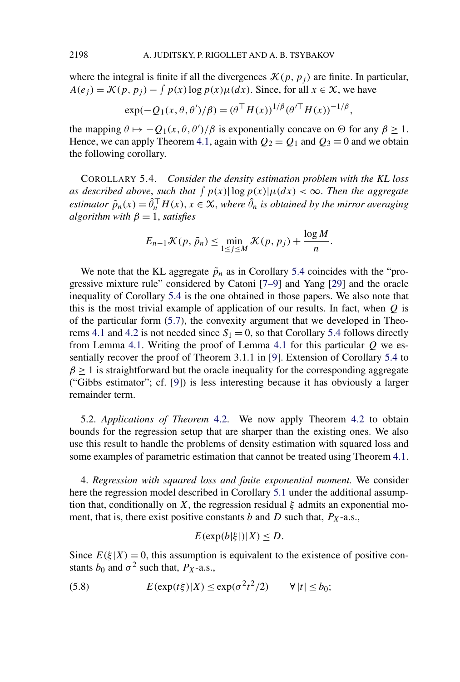where the integral is finite if all the divergences  $\mathcal{K}(p, p_i)$  are finite. In particular,  $A(e_j) = \mathcal{K}(p, p_j) - \int p(x) \log p(x) \mu(dx)$ . Since, for all  $x \in \mathcal{X}$ , we have

$$
\exp(-Q_1(x,\theta,\theta')/\beta) = (\theta^{\top} H(x))^{1/\beta} (\theta'^{\top} H(x))^{-1/\beta},
$$

the mapping  $\theta \mapsto -Q_1(x, \theta, \theta')/\beta$  is exponentially concave on  $\Theta$  for any  $\beta \ge 1$ . Hence, we can apply Theorem [4.1,](#page-6-0) again with  $Q_2 = Q_1$  and  $Q_3 = 0$  and we obtain the following corollary.

COROLLARY 5.4. *Consider the density estimation problem with the KL loss as described above, such that*  $\int p(x) |\log p(x)| \mu(dx) < \infty$ . Then the aggregate *estimator*  $\tilde{p}_n(x) = \hat{\theta}_n^\top H(x), x \in \mathcal{X}$ , where  $\hat{\theta}_n$  is obtained by the mirror averaging *algorithm with*  $\beta = 1$ *, satisfies* 

$$
E_{n-1} \mathcal{K}(p, \tilde{p}_n) \leq \min_{1 \leq j \leq M} \mathcal{K}(p, p_j) + \frac{\log M}{n}.
$$

We note that the KL aggregate  $\tilde{p}_n$  as in Corollary 5.4 coincides with the "progressive mixture rule" considered by Catoni [\[7–9\]](#page-22-0) and Yang [\[29\]](#page-23-0) and the oracle inequality of Corollary 5.4 is the one obtained in those papers. We also note that this is the most trivial example of application of our results. In fact, when *Q* is of the particular form [\(5.7\)](#page-14-0), the convexity argument that we developed in Theo-rems [4.1](#page-6-0) and [4.2](#page-7-0) is not needed since  $S_1 = 0$ , so that Corollary 5.4 follows directly from Lemma [4.1.](#page-7-0) Writing the proof of Lemma [4.1](#page-7-0) for this particular *Q* we essentially recover the proof of Theorem 3.1.1 in [\[9\]](#page-22-0). Extension of Corollary 5.4 to  $\beta \geq 1$  is straightforward but the oracle inequality for the corresponding aggregate ("Gibbs estimator"; cf. [\[9\]](#page-22-0)) is less interesting because it has obviously a larger remainder term.

5.2. *Applications of Theorem* [4.2.](#page-7-0) We now apply Theorem [4.2](#page-7-0) to obtain bounds for the regression setup that are sharper than the existing ones. We also use this result to handle the problems of density estimation with squared loss and some examples of parametric estimation that cannot be treated using Theorem [4.1.](#page-6-0)

4. *Regression with squared loss and finite exponential moment.* We consider here the regression model described in Corollary [5.1](#page-12-0) under the additional assumption that, conditionally on *X*, the regression residual  $\xi$  admits an exponential moment, that is, there exist positive constants  $b$  and  $D$  such that,  $P_X$ -a.s.,

$$
E(\exp(b|\xi|)|X) \le D.
$$

Since  $E(\xi|X) = 0$ , this assumption is equivalent to the existence of positive constants  $b_0$  and  $\sigma^2$  such that,  $P_X$ -a.s.,

(5.8) 
$$
E(\exp(t\xi)|X) \leq \exp(\sigma^2 t^2/2) \qquad \forall |t| \leq b_0;
$$

<span id="page-15-0"></span>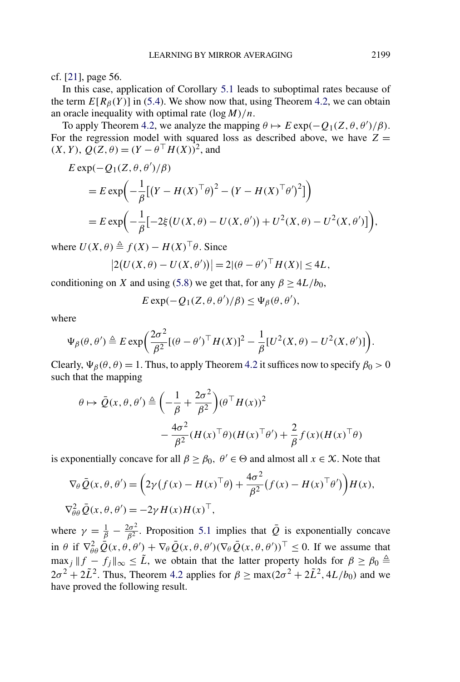cf. [\[21\]](#page-23-0), page 56.

In this case, application of Corollary [5.1](#page-12-0) leads to suboptimal rates because of the term  $E[R_\beta(Y)]$  in [\(5.4\)](#page-12-0). We show now that, using Theorem [4.2,](#page-7-0) we can obtain an oracle inequality with optimal rate *(*log*M)/n*.

To apply Theorem [4.2,](#page-7-0) we analyze the mapping  $\theta \mapsto E \exp(-Q_1(Z, \theta, \theta')/\beta)$ . For the regression model with squared loss as described above, we have  $Z =$ *(X, Y), Q(Z,*  $\theta$ *)* =  $(Y - \theta^\top H(X))^2$ , and

$$
E \exp(-Q_1(Z, \theta, \theta')/\beta)
$$
  
=  $E \exp\left(-\frac{1}{\beta}[(Y - H(X)^{\top}\theta)^2 - (Y - H(X)^{\top}\theta')^2]\right)$   
=  $E \exp\left(-\frac{1}{\beta}[-2\xi(U(X, \theta) - U(X, \theta')) + U^2(X, \theta) - U^2(X, \theta')]\right),$ 

where  $U(X, \theta) \triangleq f(X) - H(X)^\top \theta$ . Since

$$
|2(U(X, \theta) - U(X, \theta'))| = 2|(\theta - \theta')^{\top} H(X)| \le 4L,
$$

conditioning on *X* and using [\(5.8\)](#page-15-0) we get that, for any  $\beta \ge 4L/b_0$ ,

$$
E \exp(-Q_1(Z,\theta,\theta')/\beta) \leq \Psi_{\beta}(\theta,\theta'),
$$

where

$$
\Psi_{\beta}(\theta,\theta') \triangleq E \exp \biggl( \frac{2\sigma^2}{\beta^2} [(\theta - \theta')^\top H(X)]^2 - \frac{1}{\beta} [U^2(X,\theta) - U^2(X,\theta')] \biggr).
$$

Clearly,  $\Psi_{\beta}(\theta, \theta) = 1$ . Thus, to apply Theorem [4.2](#page-7-0) it suffices now to specify  $\beta_0 > 0$ such that the mapping

$$
\theta \mapsto \bar{Q}(x, \theta, \theta') \triangleq \left( -\frac{1}{\beta} + \frac{2\sigma^2}{\beta^2} \right) (\theta^\top H(x))^2 - \frac{4\sigma^2}{\beta^2} (H(x)^\top \theta) (H(x)^\top \theta') + \frac{2}{\beta} f(x) (H(x)^\top \theta)
$$

is exponentially concave for all  $\beta \ge \beta_0$ ,  $\theta' \in \Theta$  and almost all  $x \in \mathcal{X}$ . Note that

$$
\nabla_{\theta} \bar{Q}(x, \theta, \theta') = \left(2\gamma \left(f(x) - H(x)^\top \theta\right) + \frac{4\sigma^2}{\beta^2} \left(f(x) - H(x)^\top \theta'\right)\right) H(x),
$$
  

$$
\nabla_{\theta\theta}^2 \bar{Q}(x, \theta, \theta') = -2\gamma H(x)H(x)^\top,
$$

where  $\gamma = \frac{1}{\beta} - \frac{2\sigma^2}{\beta^2}$ . Proposition [5.1](#page-10-0) implies that  $\overline{Q}$  is exponentially concave in  $\theta$  if  $\nabla^2_{\theta\theta}\overline{Q}(x,\theta,\theta') + \nabla_{\theta}\overline{Q}(x,\theta,\theta')(\nabla_{\theta}\overline{Q}(x,\theta,\theta'))^{\top} \leq 0$ . If we assume that  $\max_j ||f - f_j||_{\infty} \leq \tilde{L}$ , we obtain that the latter property holds for  $\beta \geq \beta_0 \triangleq$  $2\sigma^2 + 2\tilde{L}^2$ . Thus, Theorem [4.2](#page-7-0) applies for  $\beta \ge \max(2\sigma^2 + 2\tilde{L}^2, 4L/b_0)$  and we have proved the following result.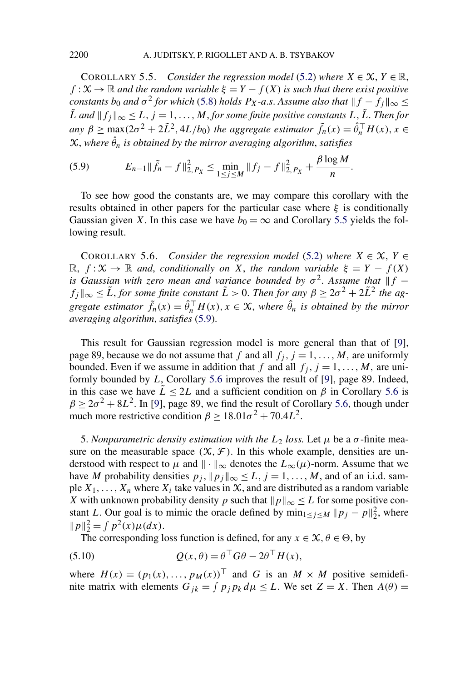<span id="page-17-0"></span>COROLLARY 5.5. *Consider the regression model* [\(5.2\)](#page-11-0) *where*  $X \in \mathcal{X}, Y \in \mathbb{R}$ , *f* :  $\mathcal{X} \rightarrow \mathbb{R}$  *and the random variable*  $\xi = Y - f(X)$  *is such that there exist positive constants b*<sub>0</sub> *and*  $\sigma^2$  *for which* [\(5.8\)](#page-15-0) *holds*  $P_X$ *-a.s. Assume also that*  $|| f - f_j ||_{\infty} \le$  $\tilde{L}$  *and*  $|| f_j ||_{\infty} \le L$ ,  $j = 1, ..., M$ , *for some finite positive constants*  $L, \tilde{L}$ . *Then for any*  $\beta \ge \max(2\sigma^2 + 2\tilde{L}^2, 4L/b_0)$  *the aggregate estimator*  $\tilde{f}_n(x) = \hat{\theta}_n^\top H(x), x \in$  $X$ , where  $\hat{\theta}_n$  is obtained by the mirror averaging algorithm, satisfies

(5.9) 
$$
E_{n-1} \|\tilde{f}_n - f\|_{2, P_X}^2 \leq \min_{1 \leq j \leq M} \|f_j - f\|_{2, P_X}^2 + \frac{\beta \log M}{n}.
$$

To see how good the constants are, we may compare this corollary with the results obtained in other papers for the particular case where *ξ* is conditionally Gaussian given *X*. In this case we have  $b_0 = \infty$  and Corollary 5.5 yields the following result.

COROLLARY 5.6. *Consider the regression model* [\(5.2\)](#page-11-0) where  $X \in \mathcal{X}$ ,  $Y \in$  $\mathbb{R}, f: \mathcal{X} \to \mathbb{R}$  *and, conditionally on X, the random variable*  $\xi = Y - f(X)$ *is Gaussian with zero mean and variance bounded by*  $\sigma^2$ . *Assume that*  $\|f - f\|$  $f_j||_{\infty} \leq \tilde{L}$ , *for some finite constant*  $\tilde{L} > 0$ . *Then for any*  $\beta \geq 2\sigma^2 + 2\tilde{L}^2$  *the aggregate estimator*  $\tilde{f}_n(x) = \hat{\theta}_n^\top H(x), x \in \mathcal{X}$ , where  $\hat{\theta}_n$  is obtained by the mirror *averaging algorithm*, *satisfies* (5.9).

This result for Gaussian regression model is more general than that of [\[9\]](#page-22-0), page 89, because we do not assume that *f* and all  $f_i$ ,  $j = 1, \ldots, M$ , are uniformly bounded. Even if we assume in addition that *f* and all  $f_j$ ,  $j = 1, ..., M$ , are uniformly bounded by *L*, Corollary 5.6 improves the result of [\[9\]](#page-22-0), page 89. Indeed, in this case we have  $\tilde{L} \leq 2L$  and a sufficient condition on  $\beta$  in Corollary 5.6 is  $\beta \geq 2\sigma^2 + 8L^2$ . In [\[9\]](#page-22-0), page 89, we find the result of Corollary 5.6, though under much more restrictive condition  $\beta \ge 18.01\sigma^2 + 70.4L^2$ .

5. *Nonparametric density estimation with the*  $L_2$  *loss.* Let  $\mu$  be a  $\sigma$ -finite measure on the measurable space  $(\mathcal{X}, \mathcal{F})$ . In this whole example, densities are understood with respect to  $\mu$  and  $\|\cdot\|_{\infty}$  denotes the  $L_{\infty}(\mu)$ -norm. Assume that we have *M* probability densities  $p_j$ ,  $||p_j||_{\infty} \le L$ ,  $j = 1, ..., M$ , and of an i.i.d. sample  $X_1, \ldots, X_n$  where  $X_i$  take values in  $X$ , and are distributed as a random variable *X* with unknown probability density *p* such that  $||p||_{\infty} \leq L$  for some positive constant *L*. Our goal is to mimic the oracle defined by  $\min_{1 \le j \le M} ||p_j - p||_2^2$ , where  $||p||_2^2 = \int p^2(x)\mu(dx).$ 

The corresponding loss function is defined, for any  $x \in \mathcal{X}, \theta \in \Theta$ , by

(5.10) 
$$
Q(x,\theta) = \theta^\top G\theta - 2\theta^\top H(x),
$$

where  $H(x) = (p_1(x), \ldots, p_M(x))^T$  and *G* is an  $M \times M$  positive semidefinite matrix with elements  $G_{jk} = \int p_j p_k d\mu \leq L$ . We set  $Z = X$ . Then  $A(\theta) =$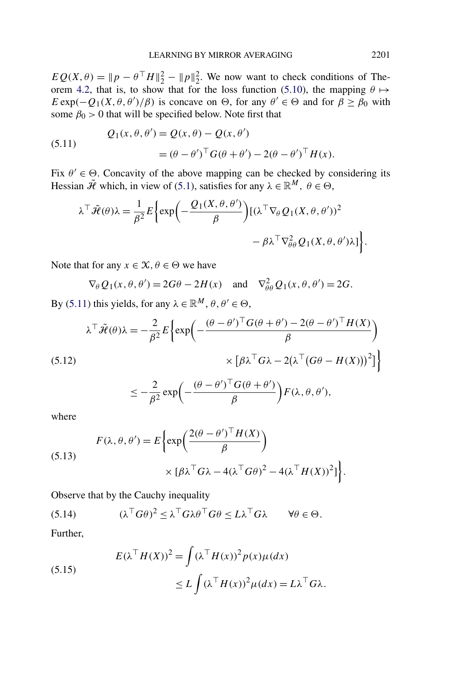<span id="page-18-0"></span> $EQ(X, \theta) = ||p - \theta^\top H||_2^2 - ||p||_2^2$ . We now want to check conditions of The-orem [4.2,](#page-7-0) that is, to show that for the loss function [\(5.10\)](#page-17-0), the mapping  $\theta \mapsto$ *E* exp $(-Q_1(X, \theta, \theta')/\beta)$  is concave on  $\Theta$ , for any  $\theta' \in \Theta$  and for  $\beta \geq \beta_0$  with some  $\beta_0 > 0$  that will be specified below. Note first that

(5.11) 
$$
Q_1(x, \theta, \theta') = Q(x, \theta) - Q(x, \theta')
$$

$$
= (\theta - \theta')^\top G(\theta + \theta') - 2(\theta - \theta')^\top H(x).
$$

Fix  $\theta' \in \Theta$ . Concavity of the above mapping can be checked by considering its Hessian  $\tilde{\mathcal{H}}$  which, in view of [\(5.1\)](#page-10-0), satisfies for any  $\lambda \in \mathbb{R}^M$ ,  $\theta \in \Theta$ ,

$$
\lambda^{\top} \tilde{\mathcal{H}}(\theta) \lambda = \frac{1}{\beta^2} E \left\{ \exp \left( - \frac{\mathcal{Q}_1(X, \theta, \theta')}{\beta} \right) \left[ (\lambda^{\top} \nabla_{\theta} \mathcal{Q}_1(X, \theta, \theta'))^2 - \beta \lambda^{\top} \nabla_{\theta \theta}^2 \mathcal{Q}_1(X, \theta, \theta') \lambda \right] \right\}.
$$

Note that for any  $x \in \mathcal{X}, \theta \in \Theta$  we have

$$
\nabla_{\theta} Q_1(x, \theta, \theta') = 2G\theta - 2H(x)
$$
 and  $\nabla_{\theta\theta}^2 Q_1(x, \theta, \theta') = 2G$ .

By (5.11) this yields, for any  $\lambda \in \mathbb{R}^M$ ,  $\theta, \theta' \in \Theta$ ,

$$
\lambda^{\top} \tilde{\mathcal{H}}(\theta) \lambda = -\frac{2}{\beta^2} E \left\{ \exp \left( -\frac{(\theta - \theta')^{\top} G(\theta + \theta') - 2(\theta - \theta')^{\top} H(X)}{\beta} \right) \right\}
$$
  
(5.12)  

$$
\times \left[ \beta \lambda^{\top} G \lambda - 2(\lambda^{\top} (G\theta - H(X)))^2 \right] \right\}
$$

$$
\leq -\frac{2}{\beta^2} \exp\biggl(-\frac{(\theta-\theta')^\top G(\theta+\theta')}{\beta}\biggr) F(\lambda,\theta,\theta'),
$$

where

(5.13)  

$$
F(\lambda, \theta, \theta') = E \left\{ \exp \left( \frac{2(\theta - \theta')^\top H(X)}{\beta} \right) \times [\beta \lambda^\top G \lambda - 4(\lambda^\top G \theta)^2 - 4(\lambda^\top H(X))^2] \right\}.
$$

Observe that by the Cauchy inequality

(5.14) 
$$
(\lambda^{\top} G \theta)^2 \leq \lambda^{\top} G \lambda \theta^{\top} G \theta \leq L \lambda^{\top} G \lambda \qquad \forall \theta \in \Theta.
$$

Further,

(5.15)  

$$
E(\lambda^\top H(X))^2 = \int (\lambda^\top H(x))^2 p(x) \mu(dx)
$$

$$
\leq L \int (\lambda^\top H(x))^2 \mu(dx) = L\lambda^\top G \lambda.
$$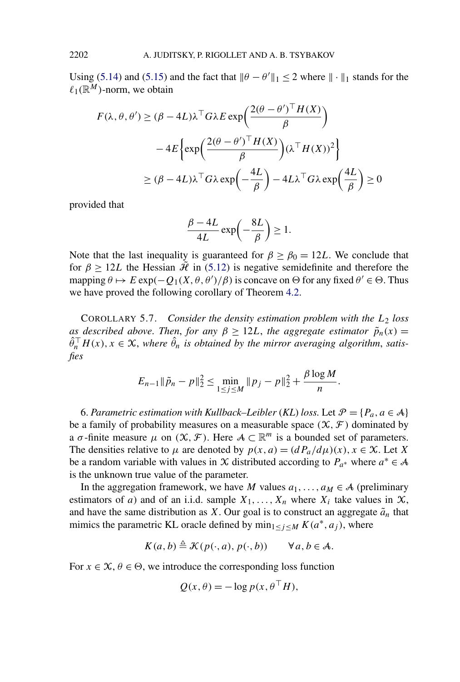Using [\(5.14\)](#page-18-0) and [\(5.15\)](#page-18-0) and the fact that  $\|\theta - \theta'\|_1 \le 2$  where  $\|\cdot\|_1$  stands for the  $\ell_1(\mathbb{R}^M)$ -norm, we obtain

$$
F(\lambda, \theta, \theta') \ge (\beta - 4L)\lambda^\top G \lambda E \exp\left(\frac{2(\theta - \theta')^\top H(X)}{\beta}\right)
$$

$$
-4E\left\{\exp\left(\frac{2(\theta - \theta')^\top H(X)}{\beta}\right)(\lambda^\top H(X))^2\right\}
$$

$$
\ge (\beta - 4L)\lambda^\top G \lambda \exp\left(-\frac{4L}{\beta}\right) - 4L\lambda^\top G \lambda \exp\left(\frac{4L}{\beta}\right) \ge 0
$$

provided that

$$
\frac{\beta - 4L}{4L} \exp\left(-\frac{8L}{\beta}\right) \ge 1.
$$

Note that the last inequality is guaranteed for  $\beta \ge \beta_0 = 12L$ . We conclude that for  $\beta \ge 12L$  the Hessian  $\hat{\mathcal{H}}$  in [\(5.12\)](#page-18-0) is negative semidefinite and therefore the mapping  $\theta \mapsto E \exp(-Q_1(X, \theta, \theta')/\beta)$  is concave on  $\Theta$  for any fixed  $\theta' \in \Theta$ . Thus we have proved the following corollary of Theorem [4.2.](#page-7-0)

COROLLARY 5.7. *Consider the density estimation problem with the L*<sup>2</sup> *loss as described above. Then, for any*  $\beta \geq 12L$ , *the aggregate estimator*  $\tilde{p}_n(x)$  =  $\hat{\theta}_n^{\top} H(x), x \in \mathcal{X}$ , where  $\hat{\theta}_n$  is obtained by the mirror averaging algorithm, satis*fies*

$$
E_{n-1} \|\tilde{p}_n - p\|_2^2 \le \min_{1 \le j \le M} \|p_j - p\|_2^2 + \frac{\beta \log M}{n}.
$$

6. Parametric estimation with Kullback–Leibler (KL) loss. Let  $\mathcal{P} = \{P_a, a \in \mathcal{A}\}\$ be a family of probability measures on a measurable space  $(\mathcal{X}, \mathcal{F})$  dominated by a  $\sigma$ -finite measure  $\mu$  on  $(\mathcal{X}, \mathcal{F})$ . Here  $\mathcal{A} \subset \mathbb{R}^m$  is a bounded set of parameters. The densities relative to  $\mu$  are denoted by  $p(x, a) = (dP_a/d\mu)(x), x \in \mathcal{X}$ . Let *X* be a random variable with values in X distributed according to  $P_{a^*}$  where  $a^* \in A$ is the unknown true value of the parameter.

In the aggregation framework, we have *M* values  $a_1, \ldots, a_M \in A$  (preliminary estimators of *a*) and of an i.i.d. sample  $X_1, \ldots, X_n$  where  $X_i$  take values in  $X$ , and have the same distribution as *X*. Our goal is to construct an aggregate  $\tilde{a}_n$  that mimics the parametric KL oracle defined by  $\min_{1 \leq j \leq M} K(a^*, a_j)$ , where

$$
K(a,b) \triangleq \mathcal{K}(p(\cdot,a),p(\cdot,b)) \qquad \forall a,b \in \mathcal{A}.
$$

For  $x \in \mathcal{X}, \theta \in \Theta$ , we introduce the corresponding loss function

$$
Q(x,\theta) = -\log p(x, \theta^{\top} H),
$$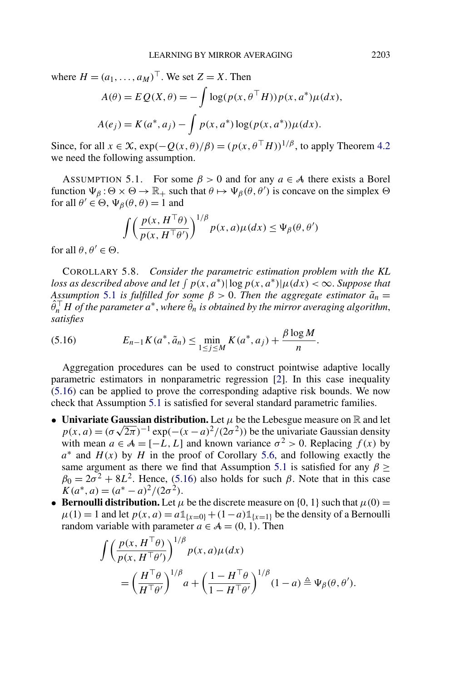<span id="page-20-0"></span>where  $H = (a_1, \ldots, a_M)^\top$ . We set  $Z = X$ . Then

$$
A(\theta) = E Q(X, \theta) = -\int \log(p(x, \theta^{\top} H)) p(x, a^*) \mu(dx),
$$
  

$$
A(e_j) = K(a^*, a_j) - \int p(x, a^*) \log(p(x, a^*)) \mu(dx).
$$

Since, for all  $x \in \mathcal{X}$ ,  $\exp(-Q(x, \theta)/\beta) = (p(x, \theta^{\top}H))^{1/\beta}$ , to apply Theorem [4.2](#page-7-0) we need the following assumption.

ASSUMPTION 5.1. For some  $\beta > 0$  and for any  $a \in A$  there exists a Borel function  $\Psi_{\beta}$  :  $\Theta \times \Theta \to \mathbb{R}_+$  such that  $\theta \mapsto \Psi_{\beta}(\theta, \theta')$  is concave on the simplex  $\Theta$ for all  $\theta' \in \Theta$ ,  $\Psi_{\beta}(\theta, \theta) = 1$  and

$$
\int \left(\frac{p(x, H^{\top}\theta)}{p(x, H^{\top}\theta')}\right)^{1/\beta} p(x, a)\mu(dx) \leq \Psi_{\beta}(\theta, \theta')
$$

for all  $\theta, \theta' \in \Theta$ .

COROLLARY 5.8. *Consider the parametric estimation problem with the KL loss as described above and let*  $\int p(x, a^*) |\log p(x, a^*)| \mu(dx) < \infty$ . Suppose that *Assumption* 5.1 *is fulfilled for some*  $\beta > 0$ . *Then the aggregate estimator*  $\tilde{a}_n =$  $\hat{\theta}_n^\top H$  *of the parameter a* $^*$ , *where*  $\hat{\theta}_n$  *is obtained by the mirror averaging algorithm*, *satisfies*

(5.16) 
$$
E_{n-1}K(a^*, \tilde{a}_n) \leq \min_{1 \leq j \leq M} K(a^*, a_j) + \frac{\beta \log M}{n}.
$$

Aggregation procedures can be used to construct pointwise adaptive locally parametric estimators in nonparametric regression [\[2\]](#page-22-0). In this case inequality (5.16) can be applied to prove the corresponding adaptive risk bounds. We now check that Assumption 5.1 is satisfied for several standard parametric families.

- **Univariate Gaussian distribution.** Let  $\mu$  be the Lebesgue measure on R and let  $p(x, a) = (\sigma \sqrt{2\pi})^{-1} \exp(-(x - a)^2/(2\sigma^2))$  be the univariate Gaussian density with mean  $a \in A = [-L, L]$  and known variance  $\sigma^2 > 0$ . Replacing  $f(x)$  by *a*<sup>∗</sup> and *H(x)* by *H* in the proof of Corollary [5.6,](#page-17-0) and following exactly the same argument as there we find that Assumption 5.1 is satisfied for any  $\beta \geq$  $\beta_0 = 2\sigma^2 + 8L^2$ . Hence, (5.16) also holds for such *β*. Note that in this case  $K(a^*, a) = (a^* - a)^2/(2\sigma^2)$ .
- **Bernoulli distribution.** Let  $\mu$  be the discrete measure on {0, 1} such that  $\mu(0)$  =  $\mu(1) = 1$  and let  $p(x, a) = a \mathbb{1}_{\{x=0\}} + (1-a) \mathbb{1}_{\{x=1\}}$  be the density of a Bernoulli random variable with parameter  $a \in A = (0, 1)$ . Then

$$
\int \left(\frac{p(x, H^{\top}\theta)}{p(x, H^{\top}\theta')}\right)^{1/\beta} p(x, a)\mu(dx)
$$
  
= 
$$
\left(\frac{H^{\top}\theta}{H^{\top}\theta'}\right)^{1/\beta} a + \left(\frac{1 - H^{\top}\theta}{1 - H^{\top}\theta'}\right)^{1/\beta} (1 - a) \triangleq \Psi_{\beta}(\theta, \theta').
$$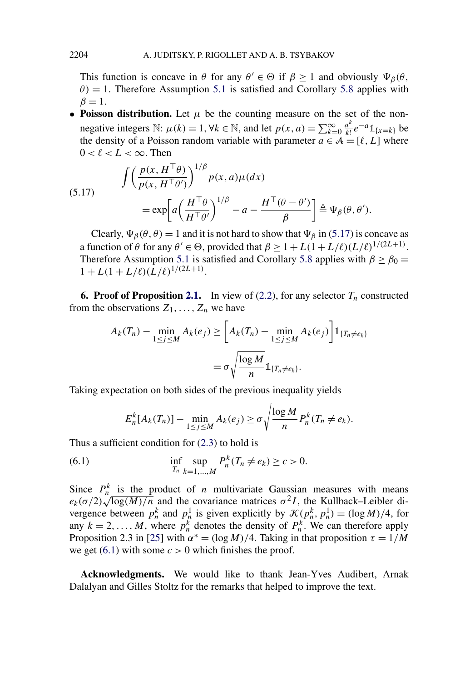<span id="page-21-0"></span>This function is concave in  $\theta$  for any  $\theta' \in \Theta$  if  $\beta \ge 1$  and obviously  $\Psi_{\beta}(\theta)$ ,  $\theta$ ) = 1. Therefore Assumption [5.1](#page-20-0) is satisfied and Corollary [5.8](#page-20-0) applies with  $\beta = 1$ .

• **Poisson distribution.** Let  $\mu$  be the counting measure on the set of the nonnegative integers  $\mathbb{N}$ :  $\mu(k) = 1, \forall k \in \mathbb{N}$ , and let  $p(x, a) = \sum_{k=0}^{\infty} \frac{a^k}{k!} e^{-a} \mathbb{1}_{\{x=k\}}$  be the density of a Poisson random variable with parameter  $a \in \mathcal{A} = [\ell, L]$  where  $0 < \ell < L < \infty$ . Then

(5.17) 
$$
\int \left(\frac{p(x, H^{\top}\theta)}{p(x, H^{\top}\theta')}\right)^{1/\beta} p(x, a)\mu(dx) = \exp\left[a\left(\frac{H^{\top}\theta}{H^{\top}\theta'}\right)^{1/\beta} - a - \frac{H^{\top}(\theta - \theta')}{\beta}\right] \triangleq \Psi_{\beta}(\theta, \theta').
$$

Clearly,  $\Psi_{\beta}(\theta, \theta) = 1$  and it is not hard to show that  $\Psi_{\beta}$  in (5.17) is concave as a function of  $\theta$  for any  $\theta' \in \Theta$ , provided that  $\beta \geq 1 + L(1 + L/\ell)(L/\ell)^{1/(2L+1)}$ . Therefore Assumption [5.1](#page-20-0) is satisfied and Corollary [5.8](#page-20-0) applies with  $\beta \ge \beta_0 =$  $1 + L(1 + L/\ell)(\tilde{L}/\ell)^{1/(2L+1)}.$ 

**6. Proof of Proposition [2.1.](#page-3-0)** In view of [\(2.2\)](#page-3-0), for any selector  $T_n$  constructed from the observations  $Z_1, \ldots, Z_n$  we have

$$
A_k(T_n) - \min_{1 \le j \le M} A_k(e_j) \ge \left[ A_k(T_n) - \min_{1 \le j \le M} A_k(e_j) \right] \mathbb{1}_{\{T_n \ne e_k\}}
$$

$$
= \sigma \sqrt{\frac{\log M}{n}} \mathbb{1}_{\{T_n \ne e_k\}}.
$$

Taking expectation on both sides of the previous inequality yields

$$
E_n^k[A_k(T_n)] - \min_{1 \le j \le M} A_k(e_j) \ge \sigma \sqrt{\frac{\log M}{n}} P_n^k(T_n \ne e_k).
$$

Thus a sufficient condition for [\(2.3\)](#page-3-0) to hold is

(6.1) 
$$
\inf_{T_n} \sup_{k=1,...,M} P_n^k(T_n \neq e_k) \geq c > 0.
$$

Since  $P_h^k$  is the product of *n* multivariate Gaussian measures with means *e<sub>k</sub>*(*σ/*2) $\sqrt{\log(M)/n}$  and the covariance matrices *σ*<sup>2</sup>*I*, the Kullback–Leibler divergence between  $p_h^k$  and  $p_h^1$  is given explicitly by  $\mathcal{K}(p_h^k, p_h^1) = (\log M)/4$ , for any  $k = 2, ..., M$ , where  $p_h^k$  denotes the density of  $P_h^k$ . We can therefore apply Proposition 2.3 in [\[25\]](#page-23-0) with  $\alpha^* = (\log M)/4$ . Taking in that proposition  $\tau = 1/M$ we get  $(6.1)$  with some  $c > 0$  which finishes the proof.

**Acknowledgments.** We would like to thank Jean-Yves Audibert, Arnak Dalalyan and Gilles Stoltz for the remarks that helped to improve the text.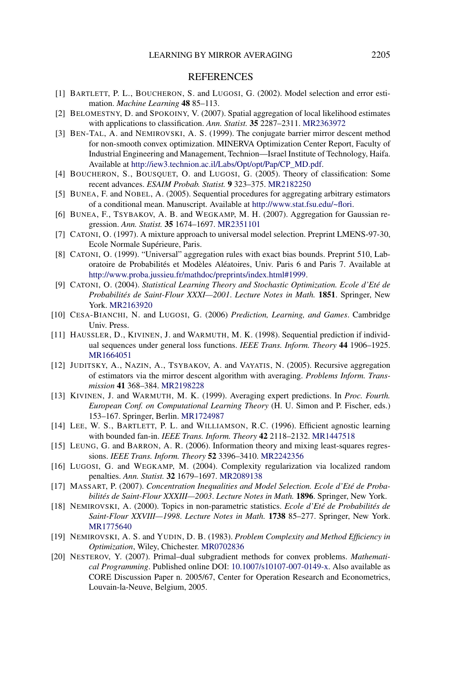## **REFERENCES**

- <span id="page-22-0"></span>[1] BARTLETT, P. L., BOUCHERON, S. and LUGOSI, G. (2002). Model selection and error estimation. *Machine Learning* **48** 85–113.
- [2] BELOMESTNY, D. and SPOKOINY, V. (2007). Spatial aggregation of local likelihood estimates with applications to classification. *Ann. Statist.* **35** 2287–2311. [MR2363972](http://www.ams.org/mathscinet-getitem?mr=2363972)
- [3] BEN-TAL, A. and NEMIROVSKI, A. S. (1999). The conjugate barrier mirror descent method for non-smooth convex optimization. MINERVA Optimization Center Report, Faculty of Industrial Engineering and Management, Technion—Israel Institute of Technology, Haifa. Available at [http://iew3.technion.ac.il/Labs/Opt/opt/Pap/CP\\_MD.pdf](http://iew3.technion.ac.il/Labs/Opt/opt/Pap/CP_MD.pdf).
- [4] BOUCHERON, S., BOUSQUET, O. and LUGOSI, G. (2005). Theory of classification: Some recent advances. *ESAIM Probab. Statist.* **9** 323–375. [MR2182250](http://www.ams.org/mathscinet-getitem?mr=2182250)
- [5] BUNEA, F. and NOBEL, A. (2005). Sequential procedures for aggregating arbitrary estimators of a conditional mean. Manuscript. Available at <http://www.stat.fsu.edu/~flori>.
- [6] BUNEA, F., TSYBAKOV, A. B. and WEGKAMP, M. H. (2007). Aggregation for Gaussian regression. *Ann. Statist.* **35** 1674–1697. [MR2351101](http://www.ams.org/mathscinet-getitem?mr=2351101)
- [7] CATONI, O. (1997). A mixture approach to universal model selection. Preprint LMENS-97-30, Ecole Normale Supérieure, Paris.
- [8] CATONI, O. (1999). "Universal" aggregation rules with exact bias bounds. Preprint 510, Laboratoire de Probabilités et Modèles Aléatoires, Univ. Paris 6 and Paris 7. Available at <http://www.proba.jussieu.fr/mathdoc/preprints/index.html#1999>.
- [9] CATONI, O. (2004). *Statistical Learning Theory and Stochastic Optimization. Ecole d'Eté de Probabilités de Saint-Flour XXXI—2001*. *Lecture Notes in Math.* **1851**. Springer, New York. [MR2163920](http://www.ams.org/mathscinet-getitem?mr=2163920)
- [10] CESA-BIANCHI, N. and LUGOSI, G. (2006) *Prediction, Learning, and Games*. Cambridge Univ. Press.
- [11] HAUSSLER, D., KIVINEN, J. and WARMUTH, M. K. (1998). Sequential prediction if individual sequences under general loss functions. *IEEE Trans. Inform. Theory* **44** 1906–1925. [MR1664051](http://www.ams.org/mathscinet-getitem?mr=1664051)
- [12] JUDITSKY, A., NAZIN, A., TSYBAKOV, A. and VAYATIS, N. (2005). Recursive aggregation of estimators via the mirror descent algorithm with averaging. *Problems Inform. Transmission* **41** 368–384. [MR2198228](http://www.ams.org/mathscinet-getitem?mr=2198228)
- [13] KIVINEN, J. and WARMUTH, M. K. (1999). Averaging expert predictions. In *Proc. Fourth. European Conf. on Computational Learning Theory* (H. U. Simon and P. Fischer, eds.) 153–167. Springer, Berlin. [MR1724987](http://www.ams.org/mathscinet-getitem?mr=1724987)
- [14] LEE, W. S., BARTLETT, P. L. and WILLIAMSON, R.C. (1996). Efficient agnostic learning with bounded fan-in. *IEEE Trans. Inform. Theory* **42** 2118–2132. [MR1447518](http://www.ams.org/mathscinet-getitem?mr=1447518)
- [15] LEUNG, G. and BARRON, A. R. (2006). Information theory and mixing least-squares regressions. *IEEE Trans. Inform. Theory* **52** 3396–3410. [MR2242356](http://www.ams.org/mathscinet-getitem?mr=2242356)
- [16] LUGOSI, G. and WEGKAMP, M. (2004). Complexity regularization via localized random penalties. *Ann. Statist.* **32** 1679–1697. [MR2089138](http://www.ams.org/mathscinet-getitem?mr=2089138)
- [17] MASSART, P. (2007). *Concentration Inequalities and Model Selection. Ecole d'Eté de Probabilités de Saint-Flour XXXIII—2003*. *Lecture Notes in Math.* **1896**. Springer, New York.
- [18] NEMIROVSKI, A. (2000). Topics in non-parametric statistics. *Ecole d'Eté de Probabilités de Saint-Flour XXVIII—1998*. *Lecture Notes in Math.* **1738** 85–277. Springer, New York. [MR1775640](http://www.ams.org/mathscinet-getitem?mr=1775640)
- [19] NEMIROVSKI, A. S. and YUDIN, D. B. (1983). *Problem Complexity and Method Efficiency in Optimization*, Wiley, Chichester. [MR0702836](http://www.ams.org/mathscinet-getitem?mr=0702836)
- [20] NESTEROV, Y. (2007). Primal–dual subgradient methods for convex problems. *Mathematical Programming*. Published online DOI: [10.1007/s10107-007-0149-x](http://dx.doi.org/10.1007/s10107-007-0149-x). Also available as CORE Discussion Paper n. 2005/67, Center for Operation Research and Econometrics, Louvain-la-Neuve, Belgium, 2005.